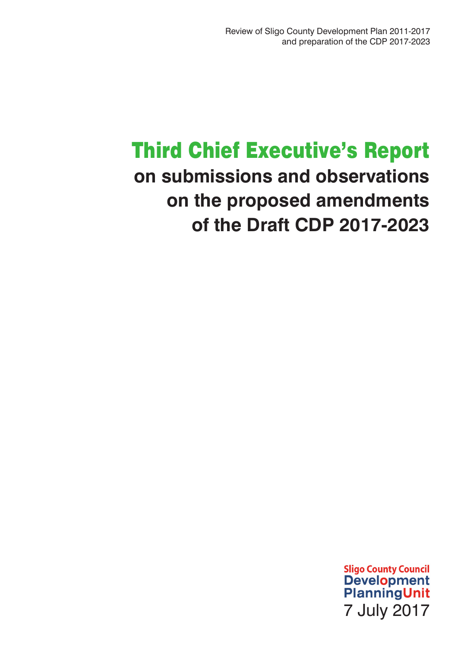# Third Chief Executive's Report **on submissions and observations on the proposed amendments of the Draft CDP 2017-2023**

**Sligo County Council** Development<br>PlanningUnit 7 July 2017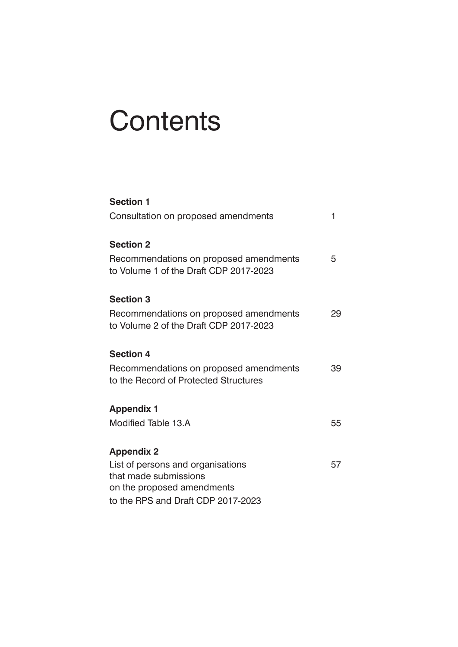# **Contents**

| <b>Section 1</b>                                                                 |    |
|----------------------------------------------------------------------------------|----|
| Consultation on proposed amendments                                              | 1  |
| <b>Section 2</b>                                                                 |    |
| Recommendations on proposed amendments<br>to Volume 1 of the Draft CDP 2017-2023 | 5  |
| <b>Section 3</b>                                                                 |    |
| Recommendations on proposed amendments<br>to Volume 2 of the Draft CDP 2017-2023 | 29 |
| <b>Section 4</b>                                                                 |    |
| Recommendations on proposed amendments<br>to the Record of Protected Structures  | 39 |
| <b>Appendix 1</b>                                                                |    |
| Modified Table 13.A                                                              | 55 |
| <b>Appendix 2</b>                                                                |    |
| List of persons and organisations                                                | 57 |
| that made submissions                                                            |    |
| on the proposed amendments                                                       |    |
| to the RPS and Draft CDP 2017-2023                                               |    |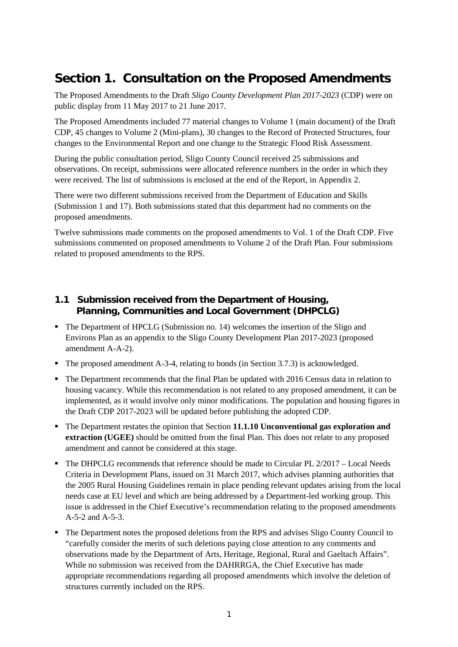# **Section 1. Consultation on the Proposed Amendments**

The Proposed Amendments to the Draft *Sligo County Development Plan 2017-2023* (CDP) were on public display from 11 May 2017 to 21 June 2017.

The Proposed Amendments included 77 material changes to Volume 1 (main document) of the Draft CDP, 45 changes to Volume 2 (Mini-plans), 30 changes to the Record of Protected Structures, four changes to the Environmental Report and one change to the Strategic Flood Risk Assessment.

During the public consultation period, Sligo County Council received 25 submissions and observations. On receipt, submissions were allocated reference numbers in the order in which they were received. The list of submissions is enclosed at the end of the Report, in Appendix 2.

There were two different submissions received from the Department of Education and Skills (Submission 1 and 17). Both submissions stated that this department had no comments on the proposed amendments.

Twelve submissions made comments on the proposed amendments to Vol. 1 of the Draft CDP. Five submissions commented on proposed amendments to Volume 2 of the Draft Plan. Four submissions related to proposed amendments to the RPS.

# **1.1 Submission received from the Department of Housing, Planning, Communities and Local Government (DHPCLG)**

- The Department of HPCLG (Submission no. 14) welcomes the insertion of the Sligo and Environs Plan as an appendix to the Sligo County Development Plan 2017-2023 (proposed amendment A-A-2).
- The proposed amendment A-3-4, relating to bonds (in Section 3.7.3) is acknowledged.
- The Department recommends that the final Plan be updated with 2016 Census data in relation to housing vacancy. While this recommendation is not related to any proposed amendment, it can be implemented, as it would involve only minor modifications. The population and housing figures in the Draft CDP 2017-2023 will be updated before publishing the adopted CDP.
- The Department restates the opinion that Section **11.1.10 Unconventional gas exploration and extraction (UGEE)** should be omitted from the final Plan. This does not relate to any proposed amendment and cannot be considered at this stage.
- $\blacksquare$  The DHPCLG recommends that reference should be made to Circular PL 2/2017 Local Needs Criteria in Development Plans, issued on 31 March 2017, which advises planning authorities that the 2005 Rural Housing Guidelines remain in place pending relevant updates arising from the local needs case at EU level and which are being addressed by a Department-led working group. This issue is addressed in the Chief Executive's recommendation relating to the proposed amendments A-5-2 and A-5-3.
- The Department notes the proposed deletions from the RPS and advises Sligo County Council to "carefully consider the merits of such deletions paying close attention to any comments and observations made by the Department of Arts, Heritage, Regional, Rural and Gaeltach Affairs". While no submission was received from the DAHRRGA, the Chief Executive has made appropriate recommendations regarding all proposed amendments which involve the deletion of structures currently included on the RPS.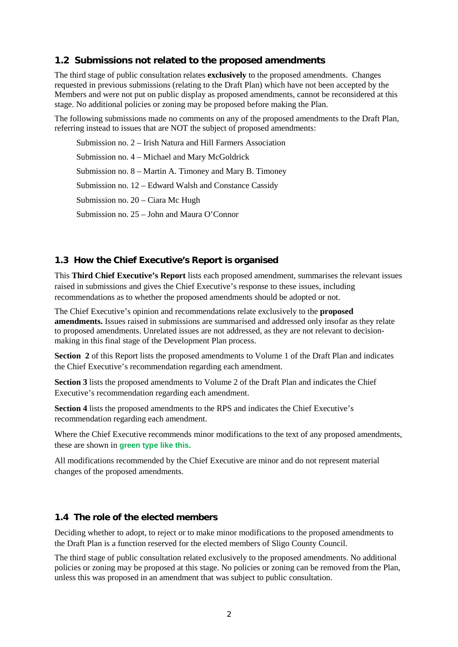# **1.2 Submissions not related to the proposed amendments**

The third stage of public consultation relates **exclusively** to the proposed amendments. Changes requested in previous submissions (relating to the Draft Plan) which have not been accepted by the Members and were not put on public display as proposed amendments, cannot be reconsidered at this stage. No additional policies or zoning may be proposed before making the Plan.

The following submissions made no comments on any of the proposed amendments to the Draft Plan, referring instead to issues that are NOT the subject of proposed amendments:

Submission no. 2 – Irish Natura and Hill Farmers Association Submission no. 4 – Michael and Mary McGoldrick Submission no. 8 – Martin A. Timoney and Mary B. Timoney Submission no. 12 – Edward Walsh and Constance Cassidy Submission no. 20 – Ciara Mc Hugh Submission no. 25 – John and Maura O'Connor

# **1.3 How the Chief Executive's Report is organised**

This **Third Chief Executive's Report** lists each proposed amendment, summarises the relevant issues raised in submissions and gives the Chief Executive's response to these issues, including recommendations as to whether the proposed amendments should be adopted or not.

The Chief Executive's opinion and recommendations relate exclusively to the **proposed amendments.** Issues raised in submissions are summarised and addressed only insofar as they relate to proposed amendments. Unrelated issues are not addressed, as they are not relevant to decisionmaking in this final stage of the Development Plan process.

**Section 2** of this Report lists the proposed amendments to Volume 1 of the Draft Plan and indicates the Chief Executive's recommendation regarding each amendment.

**Section 3** lists the proposed amendments to Volume 2 of the Draft Plan and indicates the Chief Executive's recommendation regarding each amendment.

**Section 4** lists the proposed amendments to the RPS and indicates the Chief Executive's recommendation regarding each amendment.

Where the Chief Executive recommends minor modifications to the text of any proposed amendments, these are shown in **green type like this.**

All modifications recommended by the Chief Executive are minor and do not represent material changes of the proposed amendments.

# **1.4 The role of the elected members**

Deciding whether to adopt, to reject or to make minor modifications to the proposed amendments to the Draft Plan is a function reserved for the elected members of Sligo County Council.

The third stage of public consultation related exclusively to the proposed amendments. No additional policies or zoning may be proposed at this stage. No policies or zoning can be removed from the Plan, unless this was proposed in an amendment that was subject to public consultation.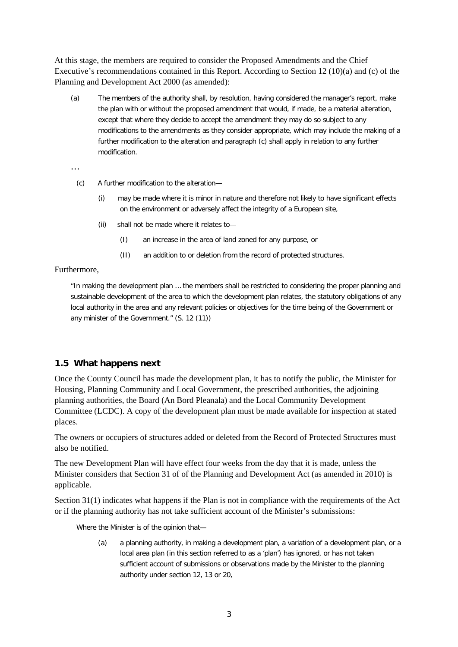At this stage, the members are required to consider the Proposed Amendments and the Chief Executive's recommendations contained in this Report. According to Section 12 (10)(a) and (c) of the Planning and Development Act 2000 (as amended):

(a) The members of the authority shall, by resolution, having considered the manager's report, make the plan with or without the proposed amendment that would, if made, be a material alteration, except that where they decide to accept the amendment they may do so subject to any modifications to the amendments as they consider appropriate, which may include the making of a further modification to the alteration and paragraph (c) shall apply in relation to any further modification.

…

- (c) A further modification to the alteration—
	- (i) may be made where it is minor in nature and therefore not likely to have significant effects on the environment or adversely affect the integrity of a European site,
	- (ii) shall not be made where it relates to—
		- (I) an increase in the area of land zoned for any purpose, or
		- (II) an addition to or deletion from the record of protected structures.

#### Furthermore,

"In making the development plan … the members shall be restricted to considering the proper planning and sustainable development of the area to which the development plan relates, the statutory obligations of any local authority in the area and any relevant policies or objectives for the time being of the Government or any minister of the Government." (S. 12 (11))

# **1.5 What happens next**

Once the County Council has made the development plan, it has to notify the public, the Minister for Housing, Planning Community and Local Government, the prescribed authorities, the adjoining planning authorities, the Board (An Bord Pleanala) and the Local Community Development Committee (LCDC). A copy of the development plan must be made available for inspection at stated places.

The owners or occupiers of structures added or deleted from the Record of Protected Structures must also be notified.

The new Development Plan will have effect four weeks from the day that it is made, unless the Minister considers that Section 31 of of the Planning and Development Act (as amended in 2010) is applicable.

Section 31(1) indicates what happens if the Plan is not in compliance with the requirements of the Act or if the planning authority has not take sufficient account of the Minister's submissions:

Where the Minister is of the opinion that—

(a) a planning authority, in making a development plan, a variation of a development plan, or a local area plan (in this section referred to as a 'plan') has ignored, or has not taken sufficient account of submissions or observations made by the Minister to the planning authority under section 12, 13 or 20,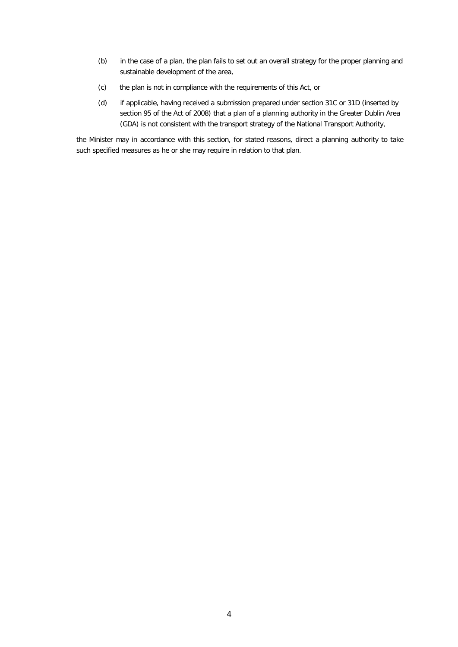- (b) in the case of a plan, the plan fails to set out an overall strategy for the proper planning and sustainable development of the area,
- (c) the plan is not in compliance with the requirements of this Act, or
- (d) if applicable, having received a submission prepared under section 31C or 31D (inserted by section 95 of the Act of 2008) that a plan of a planning authority in the Greater Dublin Area (GDA) is not consistent with the transport strategy of the National Transport Authority,

the Minister may in accordance with this section, for stated reasons, direct a planning authority to take such specified measures as he or she may require in relation to that plan.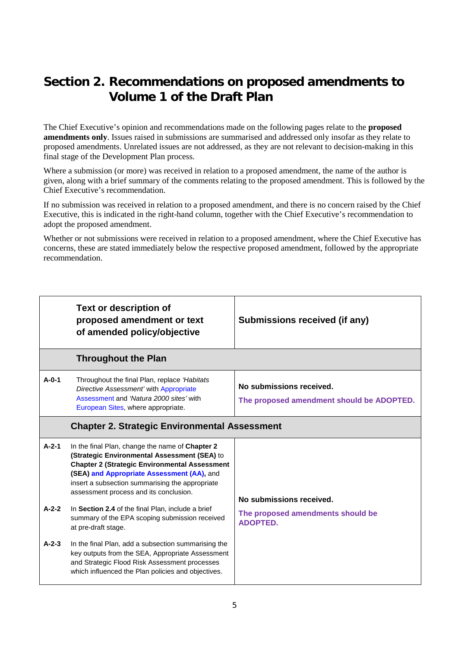# **Section 2. Recommendations on proposed amendments to Volume 1 of the Draft Plan**

The Chief Executive's opinion and recommendations made on the following pages relate to the **proposed amendments only**. Issues raised in submissions are summarised and addressed only insofar as they relate to proposed amendments. Unrelated issues are not addressed, as they are not relevant to decision-making in this final stage of the Development Plan process.

Where a submission (or more) was received in relation to a proposed amendment, the name of the author is given, along with a brief summary of the comments relating to the proposed amendment. This is followed by the Chief Executive's recommendation.

If no submission was received in relation to a proposed amendment, and there is no concern raised by the Chief Executive, this is indicated in the right-hand column, together with the Chief Executive's recommendation to adopt the proposed amendment.

Whether or not submissions were received in relation to a proposed amendment, where the Chief Executive has concerns, these are stated immediately below the respective proposed amendment, followed by the appropriate recommendation.

|                        | <b>Text or description of</b><br>proposed amendment or text<br>of amended policy/objective                                                                                                                                                                                                                                                              | Submissions received (if any)                                         |
|------------------------|---------------------------------------------------------------------------------------------------------------------------------------------------------------------------------------------------------------------------------------------------------------------------------------------------------------------------------------------------------|-----------------------------------------------------------------------|
|                        | <b>Throughout the Plan</b>                                                                                                                                                                                                                                                                                                                              |                                                                       |
| $A - 0 - 1$            | Throughout the final Plan, replace 'Habitats'<br>Directive Assessment' with Appropriate<br>Assessment and 'Natura 2000 sites' with<br>European Sites, where appropriate.                                                                                                                                                                                | No submissions received.<br>The proposed amendment should be ADOPTED. |
|                        | <b>Chapter 2. Strategic Environmental Assessment</b>                                                                                                                                                                                                                                                                                                    |                                                                       |
| $A - 2 - 1$<br>$A-2-2$ | In the final Plan, change the name of Chapter 2<br>(Strategic Environmental Assessment (SEA) to<br><b>Chapter 2 (Strategic Environmental Assessment</b><br>(SEA) and Appropriate Assessment (AA), and<br>insert a subsection summarising the appropriate<br>assessment process and its conclusion.<br>In Section 2.4 of the final Plan, include a brief | No submissions received.                                              |
|                        | summary of the EPA scoping submission received<br>at pre-draft stage.                                                                                                                                                                                                                                                                                   | The proposed amendments should be<br><b>ADOPTED.</b>                  |
| $A - 2 - 3$            | In the final Plan, add a subsection summarising the<br>key outputs from the SEA, Appropriate Assessment<br>and Strategic Flood Risk Assessment processes<br>which influenced the Plan policies and objectives.                                                                                                                                          |                                                                       |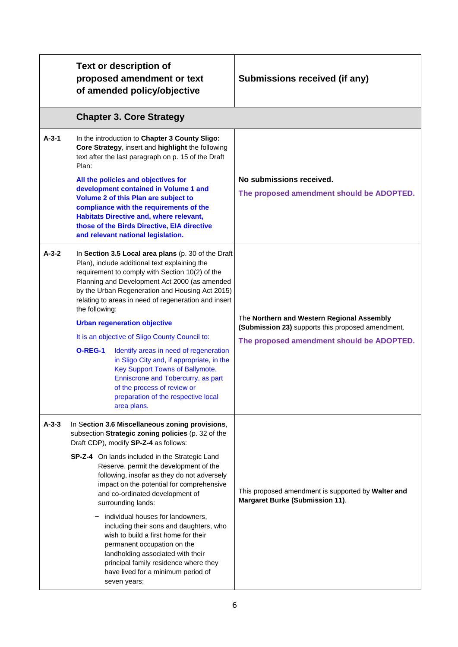|             | <b>Text or description of</b><br>proposed amendment or text<br>of amended policy/objective                                                                                                                                                                                                                                                                                                                                                                                                                                                                                                                                                                                                            | Submissions received (if any)                                                                                                                |
|-------------|-------------------------------------------------------------------------------------------------------------------------------------------------------------------------------------------------------------------------------------------------------------------------------------------------------------------------------------------------------------------------------------------------------------------------------------------------------------------------------------------------------------------------------------------------------------------------------------------------------------------------------------------------------------------------------------------------------|----------------------------------------------------------------------------------------------------------------------------------------------|
|             | <b>Chapter 3. Core Strategy</b>                                                                                                                                                                                                                                                                                                                                                                                                                                                                                                                                                                                                                                                                       |                                                                                                                                              |
| $A-3-1$     | In the introduction to Chapter 3 County Sligo:<br>Core Strategy, insert and highlight the following<br>text after the last paragraph on p. 15 of the Draft<br>Plan:                                                                                                                                                                                                                                                                                                                                                                                                                                                                                                                                   |                                                                                                                                              |
|             | All the policies and objectives for<br>development contained in Volume 1 and<br>Volume 2 of this Plan are subject to<br>compliance with the requirements of the<br><b>Habitats Directive and, where relevant,</b><br>those of the Birds Directive, EIA directive<br>and relevant national legislation.                                                                                                                                                                                                                                                                                                                                                                                                | No submissions received.<br>The proposed amendment should be ADOPTED.                                                                        |
| $A - 3 - 2$ | In Section 3.5 Local area plans (p. 30 of the Draft<br>Plan), include additional text explaining the<br>requirement to comply with Section 10(2) of the<br>Planning and Development Act 2000 (as amended<br>by the Urban Regeneration and Housing Act 2015)<br>relating to areas in need of regeneration and insert<br>the following:<br><b>Urban regeneration objective</b><br>It is an objective of Sligo County Council to:<br><b>O-REG-1</b><br>Identify areas in need of regeneration<br>in Sligo City and, if appropriate, in the<br>Key Support Towns of Ballymote,<br>Enniscrone and Tobercurry, as part<br>of the process of review or<br>preparation of the respective local<br>area plans. | The Northern and Western Regional Assembly<br>(Submission 23) supports this proposed amendment.<br>The proposed amendment should be ADOPTED. |
| $A-3-3$     | In Section 3.6 Miscellaneous zoning provisions,<br>subsection Strategic zoning policies (p. 32 of the<br>Draft CDP), modify SP-Z-4 as follows:<br>SP-Z-4 On lands included in the Strategic Land<br>Reserve, permit the development of the<br>following, insofar as they do not adversely<br>impact on the potential for comprehensive<br>and co-ordinated development of<br>surrounding lands:<br>individual houses for landowners,<br>including their sons and daughters, who<br>wish to build a first home for their<br>permanent occupation on the<br>landholding associated with their<br>principal family residence where they<br>have lived for a minimum period of<br>seven years;            | This proposed amendment is supported by Walter and<br><b>Margaret Burke (Submission 11).</b>                                                 |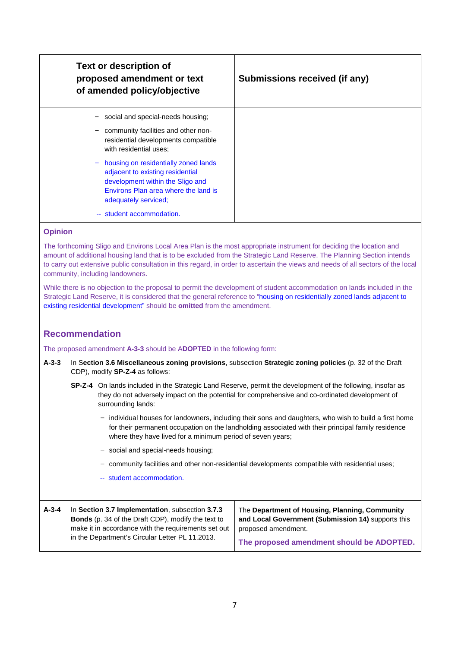| <b>Text or description of</b><br>proposed amendment or text<br>of amended policy/objective                                                                                                                                            | Submissions received (if any) |
|---------------------------------------------------------------------------------------------------------------------------------------------------------------------------------------------------------------------------------------|-------------------------------|
| social and special-needs housing;<br>$\qquad \qquad -$                                                                                                                                                                                |                               |
| community facilities and other non-<br>$\qquad \qquad -$<br>residential developments compatible<br>with residential uses;                                                                                                             |                               |
| housing on residentially zoned lands<br>$\overline{\phantom{a}}$<br>adjacent to existing residential<br>development within the Sligo and<br>Environs Plan area where the land is<br>adequately serviced;<br>-- student accommodation. |                               |

The forthcoming Sligo and Environs Local Area Plan is the most appropriate instrument for deciding the location and amount of additional housing land that is to be excluded from the Strategic Land Reserve. The Planning Section intends to carry out extensive public consultation in this regard, in order to ascertain the views and needs of all sectors of the local community, including landowners.

While there is no objection to the proposal to permit the development of student accommodation on lands included in the Strategic Land Reserve, it is considered that the general reference to "housing on residentially zoned lands adjacent to existing residential development" should be **omitted** from the amendment.

# **Recommendation**

The proposed amendment **A-3-3** should be A**DOPTED** in the following form:

- **A-3-3** In S**ection 3.6 Miscellaneous zoning provisions**, subsection **Strategic zoning policies** (p. 32 of the Draft CDP), modify **SP-Z-4** as follows:
	- **SP-Z-4** On lands included in the Strategic Land Reserve, permit the development of the following, insofar as they do not adversely impact on the potential for comprehensive and co-ordinated development of surrounding lands:
		- ̶ individual houses for landowners, including their sons and daughters, who wish to build a first home for their permanent occupation on the landholding associated with their principal family residence where they have lived for a minimum period of seven years;
		- ̶ social and special-needs housing;
		- ̶ community facilities and other non-residential developments compatible with residential uses;
		- -- student accommodation.

| In Section 3.7 Implementation, subsection 3.7.3<br>$A - 3 - 4$<br><b>Bonds</b> (p. 34 of the Draft CDP), modify the text to<br>make it in accordance with the requirements set out<br>in the Department's Circular Letter PL 11.2013. | The Department of Housing, Planning, Community<br>and Local Government (Submission 14) supports this<br>proposed amendment. |
|---------------------------------------------------------------------------------------------------------------------------------------------------------------------------------------------------------------------------------------|-----------------------------------------------------------------------------------------------------------------------------|
|                                                                                                                                                                                                                                       | The proposed amendment should be ADOPTED.                                                                                   |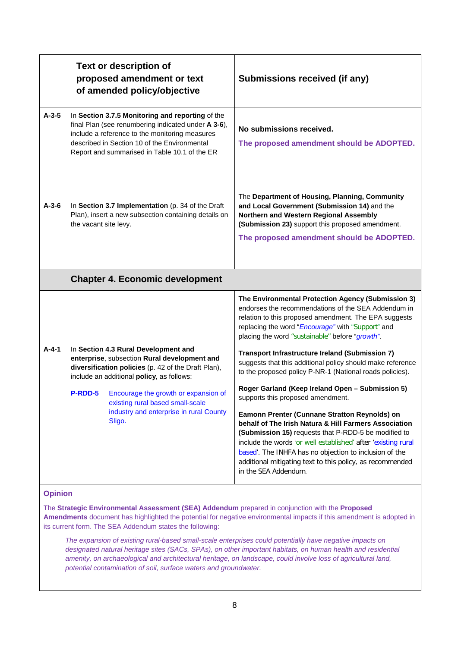|             |                       | <b>Text or description of</b><br>proposed amendment or text<br>of amended policy/objective                                                                                                                                                                 | Submissions received (if any)                                                                                                                                                                                                                                                                                                                                                  |
|-------------|-----------------------|------------------------------------------------------------------------------------------------------------------------------------------------------------------------------------------------------------------------------------------------------------|--------------------------------------------------------------------------------------------------------------------------------------------------------------------------------------------------------------------------------------------------------------------------------------------------------------------------------------------------------------------------------|
| $A-3-5$     |                       | In Section 3.7.5 Monitoring and reporting of the<br>final Plan (see renumbering indicated under A 3-6),<br>include a reference to the monitoring measures<br>described in Section 10 of the Environmental<br>Report and summarised in Table 10.1 of the ER | No submissions received.<br>The proposed amendment should be ADOPTED.                                                                                                                                                                                                                                                                                                          |
| $A - 3 - 6$ | the vacant site levy. | In Section 3.7 Implementation (p. 34 of the Draft<br>Plan), insert a new subsection containing details on                                                                                                                                                  | The Department of Housing, Planning, Community<br>and Local Government (Submission 14) and the<br>Northern and Western Regional Assembly<br>(Submission 23) support this proposed amendment.<br>The proposed amendment should be ADOPTED.                                                                                                                                      |
|             |                       | <b>Chapter 4. Economic development</b>                                                                                                                                                                                                                     |                                                                                                                                                                                                                                                                                                                                                                                |
|             |                       |                                                                                                                                                                                                                                                            | The Environmental Protection Agency (Submission 3)<br>endorses the recommendations of the SEA Addendum in<br>relation to this proposed amendment. The EPA suggests<br>replacing the word "Encourage" with "Support" and<br>placing the word "sustainable" before "growth".                                                                                                     |
| $A - 4 - 1$ |                       | In Section 4.3 Rural Development and<br>enterprise, subsection Rural development and<br>diversification policies (p. 42 of the Draft Plan),<br>include an additional policy, as follows:                                                                   | Transport Infrastructure Ireland (Submission 7)<br>suggests that this additional policy should make reference<br>to the proposed policy P-NR-1 (National roads policies).                                                                                                                                                                                                      |
|             | P-RDD-5               | Encourage the growth or expansion of<br>existing rural based small-scale                                                                                                                                                                                   | Roger Garland (Keep Ireland Open - Submission 5)<br>supports this proposed amendment.                                                                                                                                                                                                                                                                                          |
|             |                       | industry and enterprise in rural County<br>Sligo.                                                                                                                                                                                                          | Eamonn Prenter (Cunnane Stratton Reynolds) on<br>behalf of The Irish Natura & Hill Farmers Association<br>(Submission 15) requests that P-RDD-5 be modified to<br>include the words 'or well established' after 'existing rural<br>based'. The INHFA has no objection to inclusion of the<br>additional mitigating text to this policy, as recommended<br>in the SEA Addendum. |

The **Strategic Environmental Assessment (SEA) Addendum** prepared in conjunction with the **Proposed Amendments** document has highlighted the potential for negative environmental impacts if this amendment is adopted in its current form. The SEA Addendum states the following:

*The expansion of existing rural-based small-scale enterprises could potentially have negative impacts on designated natural heritage sites (SACs, SPAs), on other important habitats, on human health and residential amenity, on archaeological and architectural heritage, on landscape, could involve loss of agricultural land, potential contamination of soil, surface waters and groundwater.*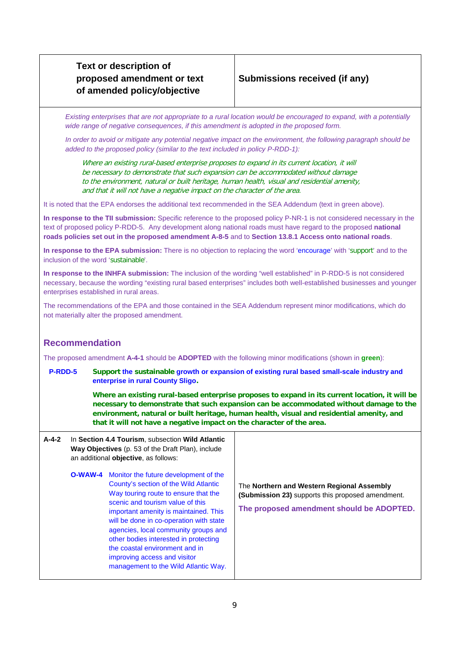# **Submissions received (if any)**

*Existing enterprises that are not appropriate to a rural location would be encouraged to expand, with a potentially wide range of negative consequences, if this amendment is adopted in the proposed form.* 

*In order to avoid or mitigate any potential negative impact on the environment, the following paragraph should be added to the proposed policy (similar to the text included in policy P-RDD-1):*

Where an existing rural-based enterprise proposes to expand in its current location, it will be necessary to demonstrate that such expansion can be accommodated without damage to the environment, natural or built heritage, human health, visual and residential amenity, and that it will not have a negative impact on the character of the area.

It is noted that the EPA endorses the additional text recommended in the SEA Addendum (text in green above).

**In response to the TII submission:** Specific reference to the proposed policy P-NR-1 is not considered necessary in the text of proposed policy P-RDD-5. Any development along national roads must have regard to the proposed **national roads policies set out in the proposed amendment A-8-5** and to **Section 13.8.1 Access onto national roads**.

**In response to the EPA submission:** There is no objection to replacing the word 'encourage' with 'support' and to the inclusion of the word 'sustainable'.

**In response to the INHFA submission:** The inclusion of the wording "well established" in P-RDD-5 is not considered necessary, because the wording "existing rural based enterprises" includes both well-established businesses and younger enterprises established in rural areas.

The recommendations of the EPA and those contained in the SEA Addendum represent minor modifications, which do not materially alter the proposed amendment.

# **Recommendation**

The proposed amendment **A-4-1** should be **ADOPTED** with the following minor modifications (shown in **green**):

**P-RDD-5 Support the sustainable growth or expansion of existing rural based small-scale industry and enterprise in rural County Sligo.** 

> **Where an existing rural-based enterprise proposes to expand in its current location, it will be necessary to demonstrate that such expansion can be accommodated without damage to the environment, natural or built heritage, human health, visual and residential amenity, and that it will not have a negative impact on the character of the area.**

| $A - 4 - 2$ |         | In Section 4.4 Tourism, subsection Wild Atlantic<br>Way Objectives (p. 53 of the Draft Plan), include<br>an additional objective, as follows:                                                                                                                                                                                                                                                                                             |                                                                                                                                              |
|-------------|---------|-------------------------------------------------------------------------------------------------------------------------------------------------------------------------------------------------------------------------------------------------------------------------------------------------------------------------------------------------------------------------------------------------------------------------------------------|----------------------------------------------------------------------------------------------------------------------------------------------|
|             | O-WAW-4 | Monitor the future development of the<br>County's section of the Wild Atlantic<br>Way touring route to ensure that the<br>scenic and tourism value of this<br>important amenity is maintained. This<br>will be done in co-operation with state<br>agencies, local community groups and<br>other bodies interested in protecting<br>the coastal environment and in<br>improving access and visitor<br>management to the Wild Atlantic Way. | The Northern and Western Regional Assembly<br>(Submission 23) supports this proposed amendment.<br>The proposed amendment should be ADOPTED. |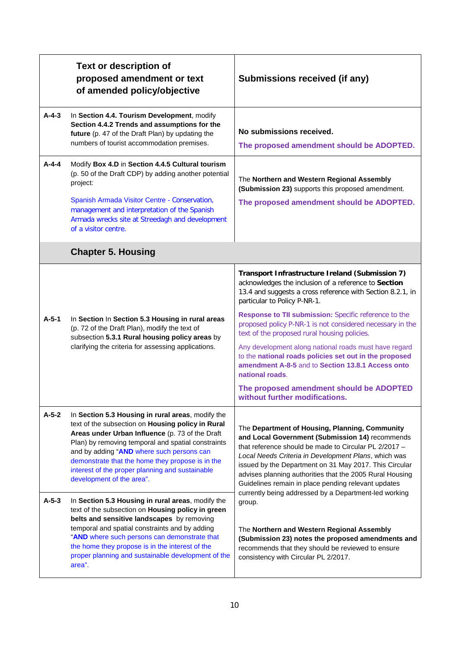|                    | <b>Text or description of</b><br>proposed amendment or text<br>of amended policy/objective                                                                                                                                                                                                                                                                                                                                                                                                                                                               | Submissions received (if any)                                                                                                                                                                                                                                                                                                                                                                                                                                                                                                                                                                                                                        |
|--------------------|----------------------------------------------------------------------------------------------------------------------------------------------------------------------------------------------------------------------------------------------------------------------------------------------------------------------------------------------------------------------------------------------------------------------------------------------------------------------------------------------------------------------------------------------------------|------------------------------------------------------------------------------------------------------------------------------------------------------------------------------------------------------------------------------------------------------------------------------------------------------------------------------------------------------------------------------------------------------------------------------------------------------------------------------------------------------------------------------------------------------------------------------------------------------------------------------------------------------|
| $A - 4 - 3$        | In Section 4.4. Tourism Development, modify<br>Section 4.4.2 Trends and assumptions for the<br>future (p. 47 of the Draft Plan) by updating the<br>numbers of tourist accommodation premises.                                                                                                                                                                                                                                                                                                                                                            | No submissions received.<br>The proposed amendment should be ADOPTED.                                                                                                                                                                                                                                                                                                                                                                                                                                                                                                                                                                                |
| $A - 4 - 4$        | Modify Box 4.D in Section 4.4.5 Cultural tourism<br>(p. 50 of the Draft CDP) by adding another potential<br>project:<br>Spanish Armada Visitor Centre - Conservation,<br>management and interpretation of the Spanish<br>Armada wrecks site at Streedagh and development<br>of a visitor centre.                                                                                                                                                                                                                                                         | The Northern and Western Regional Assembly<br>(Submission 23) supports this proposed amendment.<br>The proposed amendment should be ADOPTED.                                                                                                                                                                                                                                                                                                                                                                                                                                                                                                         |
|                    | <b>Chapter 5. Housing</b>                                                                                                                                                                                                                                                                                                                                                                                                                                                                                                                                |                                                                                                                                                                                                                                                                                                                                                                                                                                                                                                                                                                                                                                                      |
| $A-5-1$            | In Section In Section 5.3 Housing in rural areas<br>(p. 72 of the Draft Plan), modify the text of<br>subsection 5.3.1 Rural housing policy areas by<br>clarifying the criteria for assessing applications.                                                                                                                                                                                                                                                                                                                                               | Transport Infrastructure Ireland (Submission 7)<br>acknowledges the inclusion of a reference to Section<br>13.4 and suggests a cross reference with Section 8.2.1, in<br>particular to Policy P-NR-1.<br>Response to TII submission: Specific reference to the<br>proposed policy P-NR-1 is not considered necessary in the<br>text of the proposed rural housing policies.<br>Any development along national roads must have regard<br>to the national roads policies set out in the proposed<br>amendment A-8-5 and to Section 13.8.1 Access onto<br>national roads.<br>The proposed amendment should be ADOPTED<br>without further modifications. |
| $A-5-2$<br>$A-5-3$ | In Section 5.3 Housing in rural areas, modify the<br>text of the subsection on Housing policy in Rural<br>Areas under Urban Influence (p. 73 of the Draft<br>Plan) by removing temporal and spatial constraints<br>and by adding "AND where such persons can<br>demonstrate that the home they propose is in the<br>interest of the proper planning and sustainable<br>development of the area".<br>In Section 5.3 Housing in rural areas, modify the<br>text of the subsection on Housing policy in green<br>belts and sensitive landscapes by removing | The Department of Housing, Planning, Community<br>and Local Government (Submission 14) recommends<br>that reference should be made to Circular PL 2/2017 -<br>Local Needs Criteria in Development Plans, which was<br>issued by the Department on 31 May 2017. This Circular<br>advises planning authorities that the 2005 Rural Housing<br>Guidelines remain in place pending relevant updates<br>currently being addressed by a Department-led working<br>group.                                                                                                                                                                                   |
|                    | temporal and spatial constraints and by adding<br>"AND where such persons can demonstrate that<br>the home they propose is in the interest of the<br>proper planning and sustainable development of the<br>area".                                                                                                                                                                                                                                                                                                                                        | The Northern and Western Regional Assembly<br>(Submission 23) notes the proposed amendments and<br>recommends that they should be reviewed to ensure<br>consistency with Circular PL 2/2017.                                                                                                                                                                                                                                                                                                                                                                                                                                                         |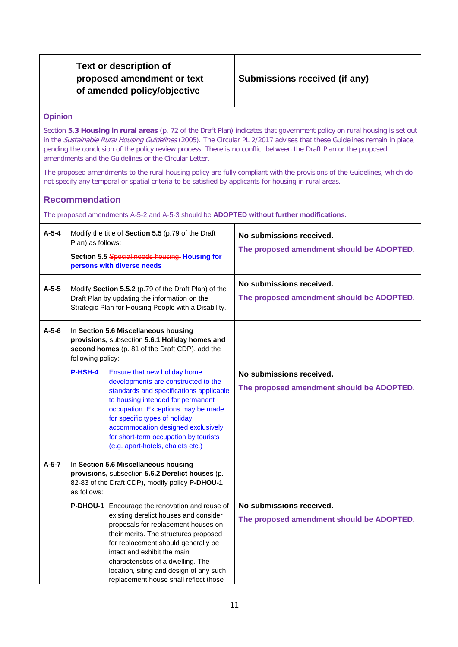### **Opinion**

Section **5.3 Housing in rural areas** (p. 72 of the Draft Plan) indicates that government policy on rural housing is set out in the Sustainable Rural Housing Guidelines (2005). The Circular PL 2/2017 advises that these Guidelines remain in place, pending the conclusion of the policy review process. There is no conflict between the Draft Plan or the proposed amendments and the Guidelines or the Circular Letter.

The proposed amendments to the rural housing policy are fully compliant with the provisions of the Guidelines, which do not specify any temporal or spatial criteria to be satisfied by applicants for housing in rural areas.

# **Recommendation**

The proposed amendments A-5-2 and A-5-3 should be **ADOPTED without further modifications.**

| $A-5-4$ | Plan) as follows: | Modify the title of Section 5.5 (p.79 of the Draft<br>Section 5.5 Special needs housing Housing for<br>persons with diverse needs                                                                                                                                                                                                                                       | No submissions received.<br>The proposed amendment should be ADOPTED. |
|---------|-------------------|-------------------------------------------------------------------------------------------------------------------------------------------------------------------------------------------------------------------------------------------------------------------------------------------------------------------------------------------------------------------------|-----------------------------------------------------------------------|
| $A-5-5$ |                   | Modify Section 5.5.2 (p.79 of the Draft Plan) of the<br>Draft Plan by updating the information on the<br>Strategic Plan for Housing People with a Disability.                                                                                                                                                                                                           | No submissions received.<br>The proposed amendment should be ADOPTED. |
| $A-5-6$ | following policy: | In Section 5.6 Miscellaneous housing<br>provisions, subsection 5.6.1 Holiday homes and<br>second homes (p. 81 of the Draft CDP), add the                                                                                                                                                                                                                                |                                                                       |
|         | P-HSH-4           | Ensure that new holiday home<br>developments are constructed to the<br>standards and specifications applicable<br>to housing intended for permanent<br>occupation. Exceptions may be made<br>for specific types of holiday<br>accommodation designed exclusively<br>for short-term occupation by tourists<br>(e.g. apart-hotels, chalets etc.)                          | No submissions received.<br>The proposed amendment should be ADOPTED. |
| $A-5-7$ | as follows:       | In Section 5.6 Miscellaneous housing<br>provisions, subsection 5.6.2 Derelict houses (p.<br>82-83 of the Draft CDP), modify policy P-DHOU-1                                                                                                                                                                                                                             |                                                                       |
|         |                   | P-DHOU-1 Encourage the renovation and reuse of<br>existing derelict houses and consider<br>proposals for replacement houses on<br>their merits. The structures proposed<br>for replacement should generally be<br>intact and exhibit the main<br>characteristics of a dwelling. The<br>location, siting and design of any such<br>replacement house shall reflect those | No submissions received.<br>The proposed amendment should be ADOPTED. |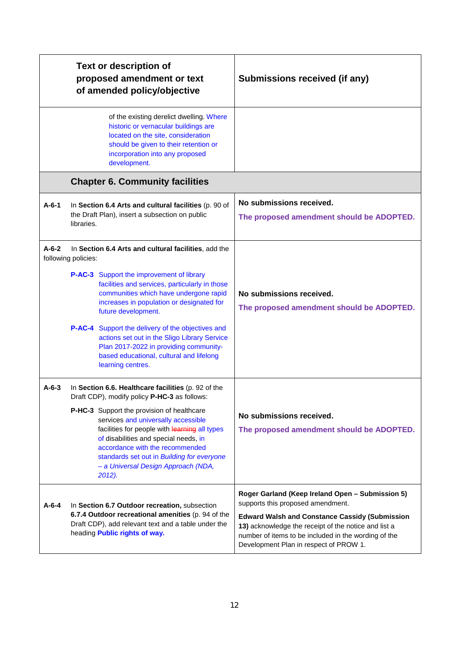|             | <b>Text or description of</b><br>proposed amendment or text<br>of amended policy/objective                                                                                                                                                                                                                    | Submissions received (if any)                                                                                                                                                                                   |
|-------------|---------------------------------------------------------------------------------------------------------------------------------------------------------------------------------------------------------------------------------------------------------------------------------------------------------------|-----------------------------------------------------------------------------------------------------------------------------------------------------------------------------------------------------------------|
|             | of the existing derelict dwelling. Where<br>historic or vernacular buildings are<br>located on the site, consideration<br>should be given to their retention or<br>incorporation into any proposed<br>development.                                                                                            |                                                                                                                                                                                                                 |
|             | <b>Chapter 6. Community facilities</b>                                                                                                                                                                                                                                                                        |                                                                                                                                                                                                                 |
| $A - 6 - 1$ | In Section 6.4 Arts and cultural facilities (p. 90 of<br>the Draft Plan), insert a subsection on public<br>libraries.                                                                                                                                                                                         | No submissions received.<br>The proposed amendment should be ADOPTED.                                                                                                                                           |
| $A - 6 - 2$ | In Section 6.4 Arts and cultural facilities, add the<br>following policies:                                                                                                                                                                                                                                   |                                                                                                                                                                                                                 |
|             | P-AC-3 Support the improvement of library<br>facilities and services, particularly in those<br>communities which have undergone rapid<br>increases in population or designated for<br>future development.                                                                                                     | No submissions received.<br>The proposed amendment should be ADOPTED.                                                                                                                                           |
|             | P-AC-4 Support the delivery of the objectives and<br>actions set out in the Sligo Library Service<br>Plan 2017-2022 in providing community-<br>based educational, cultural and lifelong<br>learning centres.                                                                                                  |                                                                                                                                                                                                                 |
| $A - 6 - 3$ | In Section 6.6. Healthcare facilities (p. 92 of the<br>Draft CDP), modify policy P-HC-3 as follows:                                                                                                                                                                                                           |                                                                                                                                                                                                                 |
|             | P-HC-3 Support the provision of healthcare<br>services and universally accessible<br>facilities for people with learning all types<br>of disabilities and special needs, in<br>accordance with the recommended<br>standards set out in Building for everyone<br>- a Universal Design Approach (NDA,<br>2012). | No submissions received.<br>The proposed amendment should be ADOPTED.                                                                                                                                           |
| $A - 6 - 4$ | In Section 6.7 Outdoor recreation, subsection                                                                                                                                                                                                                                                                 | Roger Garland (Keep Ireland Open - Submission 5)<br>supports this proposed amendment.                                                                                                                           |
|             | 6.7.4 Outdoor recreational amenities (p. 94 of the<br>Draft CDP), add relevant text and a table under the<br>heading <b>Public rights of way.</b>                                                                                                                                                             | <b>Edward Walsh and Constance Cassidy (Submission</b><br>13) acknowledge the receipt of the notice and list a<br>number of items to be included in the wording of the<br>Development Plan in respect of PROW 1. |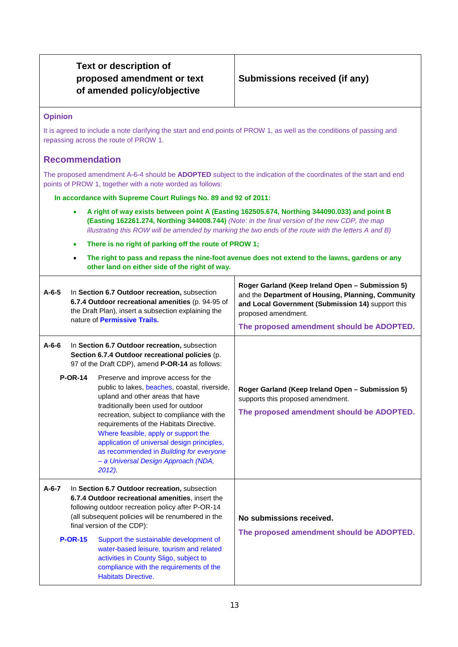# **Opinion**

It is agreed to include a note clarifying the start and end points of PROW 1, as well as the conditions of passing and repassing across the route of PROW 1.

# **Recommendation**

The proposed amendment A-6-4 should be **ADOPTED** subject to the indication of the coordinates of the start and end points of PROW 1, together with a note worded as follows:

**In accordance with Supreme Court Rulings No. 89 and 92 of 2011:**

- **A right of way exists between point A (Easting 162505.674, Northing 344090.033) and point B (Easting 162261.274, Northing 344008.744)** *(Note: in the final version of the new CDP, the map illustrating this ROW will be amended by marking the two ends of the route with the letters A and B)*
- **There is no right of parking off the route of PROW 1;**
- **The right to pass and repass the nine-foot avenue does not extend to the lawns, gardens or any other land on either side of the right of way.**

| $A - 6 - 5$ |                | In Section 6.7 Outdoor recreation, subsection<br>6.7.4 Outdoor recreational amenities (p. 94-95 of<br>the Draft Plan), insert a subsection explaining the<br>nature of Permissive Trails.                                                                                                                                                                                                                                                                                                                                                                                                          | Roger Garland (Keep Ireland Open - Submission 5)<br>and the Department of Housing, Planning, Community<br>and Local Government (Submission 14) support this<br>proposed amendment.<br>The proposed amendment should be ADOPTED. |
|-------------|----------------|----------------------------------------------------------------------------------------------------------------------------------------------------------------------------------------------------------------------------------------------------------------------------------------------------------------------------------------------------------------------------------------------------------------------------------------------------------------------------------------------------------------------------------------------------------------------------------------------------|---------------------------------------------------------------------------------------------------------------------------------------------------------------------------------------------------------------------------------|
| $A - 6 - 6$ | <b>P-OR-14</b> | In Section 6.7 Outdoor recreation, subsection<br>Section 6.7.4 Outdoor recreational policies (p.<br>97 of the Draft CDP), amend P-OR-14 as follows:<br>Preserve and improve access for the<br>public to lakes, beaches, coastal, riverside,<br>upland and other areas that have<br>traditionally been used for outdoor<br>recreation, subject to compliance with the<br>requirements of the Habitats Directive.<br>Where feasible, apply or support the<br>application of universal design principles,<br>as recommended in Building for everyone<br>- a Universal Design Approach (NDA,<br>2012). | Roger Garland (Keep Ireland Open - Submission 5)<br>supports this proposed amendment.<br>The proposed amendment should be ADOPTED.                                                                                              |
| $A - 6 - 7$ | <b>P-OR-15</b> | In Section 6.7 Outdoor recreation, subsection<br>6.7.4 Outdoor recreational amenities, insert the<br>following outdoor recreation policy after P-OR-14<br>(all subsequent policies will be renumbered in the<br>final version of the CDP):<br>Support the sustainable development of<br>water-based leisure, tourism and related<br>activities in County Sligo, subject to<br>compliance with the requirements of the<br><b>Habitats Directive.</b>                                                                                                                                                | No submissions received.<br>The proposed amendment should be ADOPTED.                                                                                                                                                           |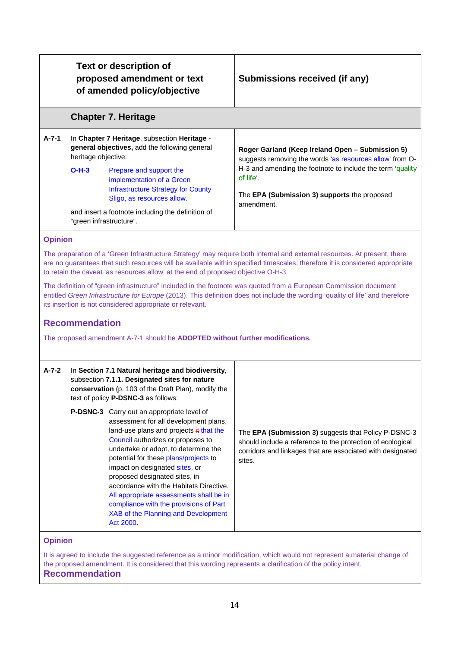|                                                                          | proposed amendment or text<br>of amended policy/objective                                                                                                                                                                                                                                                                                                                                                                                                                                                                                                                                                                                                                                                               | Submissions received (if any)                                                                                                                                                                                                                                                                                                                                                                                                                                                                                |
|--------------------------------------------------------------------------|-------------------------------------------------------------------------------------------------------------------------------------------------------------------------------------------------------------------------------------------------------------------------------------------------------------------------------------------------------------------------------------------------------------------------------------------------------------------------------------------------------------------------------------------------------------------------------------------------------------------------------------------------------------------------------------------------------------------------|--------------------------------------------------------------------------------------------------------------------------------------------------------------------------------------------------------------------------------------------------------------------------------------------------------------------------------------------------------------------------------------------------------------------------------------------------------------------------------------------------------------|
|                                                                          | <b>Chapter 7. Heritage</b>                                                                                                                                                                                                                                                                                                                                                                                                                                                                                                                                                                                                                                                                                              |                                                                                                                                                                                                                                                                                                                                                                                                                                                                                                              |
| $A - 7 - 1$<br>heritage objective:<br>$O-H-3$<br>"green infrastructure". | In Chapter 7 Heritage, subsection Heritage -<br>general objectives, add the following general<br>Prepare and support the<br>implementation of a Green<br><b>Infrastructure Strategy for County</b><br>Sligo, as resources allow.<br>and insert a footnote including the definition of                                                                                                                                                                                                                                                                                                                                                                                                                                   | Roger Garland (Keep Ireland Open - Submission 5)<br>suggests removing the words 'as resources allow' from O-<br>H-3 and amending the footnote to include the term 'quality<br>of life'.<br>The EPA (Submission 3) supports the proposed<br>amendment.                                                                                                                                                                                                                                                        |
| <b>Recommendation</b>                                                    | to retain the caveat 'as resources allow' at the end of proposed objective O-H-3.<br>its insertion is not considered appropriate or relevant.<br>The proposed amendment A-7-1 should be ADOPTED without further modifications.                                                                                                                                                                                                                                                                                                                                                                                                                                                                                          | The preparation of a 'Green Infrastructure Strategy' may require both internal and external resources. At present, there<br>are no guarantees that such resources will be available within specified timescales, therefore it is considered appropriate<br>The definition of "green infrastructure" included in the footnote was quoted from a European Commission document<br>entitled Green Infrastructure for Europe (2013). This definition does not include the wording 'quality of life' and therefore |
| $A - 7 - 2$<br><b>Opinion</b>                                            | In Section 7.1 Natural heritage and biodiversity,<br>subsection 7.1.1. Designated sites for nature<br>conservation (p. 103 of the Draft Plan), modify the<br>text of policy <b>P-DSNC-3</b> as follows:<br>P-DSNC-3 Carry out an appropriate level of<br>assessment for all development plans,<br>land-use plans and projects $#$ that the<br>Council authorizes or proposes to<br>undertake or adopt, to determine the<br>potential for these plans/projects to<br>impact on designated sites, or<br>proposed designated sites, in<br>accordance with the Habitats Directive.<br>All appropriate assessments shall be in<br>compliance with the provisions of Part<br>XAB of the Planning and Development<br>Act 2000. | The EPA (Submission 3) suggests that Policy P-DSNC-3<br>should include a reference to the protection of ecological<br>corridors and linkages that are associated with designated<br>sites.                                                                                                                                                                                                                                                                                                                   |

#### **Recommendation**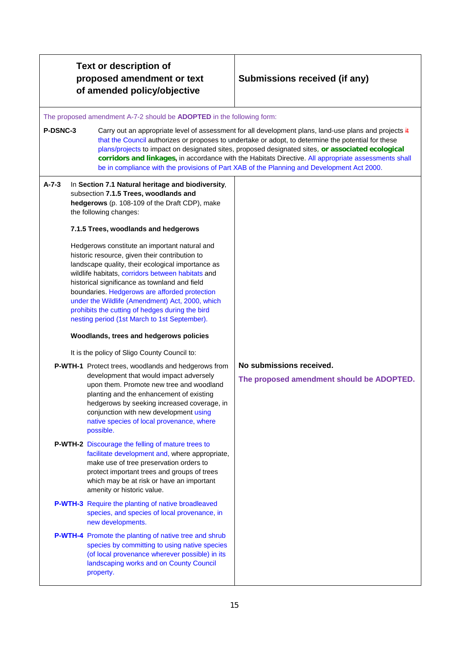# **Submissions received (if any)**

#### The proposed amendment A-7-2 should be **ADOPTED** in the following form:

**P-DSNC-3** Carry out an appropriate level of assessment for all development plans, land-use plans and projects it that the Council authorizes or proposes to undertake or adopt, to determine the potential for these plans/projects to impact on designated sites, proposed designated sites, **or associated ecological corridors and linkages,** in accordance with the Habitats Directive. All appropriate assessments shall be in compliance with the provisions of Part XAB of the Planning and Development Act 2000.

# **A-7-3** In **Section 7.1 Natural heritage and biodiversity**, subsection **7.1.5 Trees, woodlands and hedgerows** (p. 108-109 of the Draft CDP), make the following changes: **7.1.5 Trees, woodlands and hedgerows** Hedgerows constitute an important natural and historic resource, given their contribution to landscape quality, their ecological importance as wildlife habitats, corridors between habitats and historical significance as townland and field boundaries. Hedgerows are afforded protection under the Wildlife (Amendment) Act, 2000, which prohibits the cutting of hedges during the bird nesting period (1st March to 1st September). **Woodlands, trees and hedgerows policies**  It is the policy of Sligo County Council to: **P-WTH-1** Protect trees, woodlands and hedgerows from development that would impact adversely upon them. Promote new tree and woodland planting and the enhancement of existing hedgerows by seeking increased coverage, in conjunction with new development using native species of local provenance, where possible. **P-WTH-2** Discourage the felling of mature trees to facilitate development and, where appropriate, make use of tree preservation orders to protect important trees and groups of trees which may be at risk or have an important amenity or historic value. **P-WTH-3** Require the planting of native broadleaved species, and species of local provenance, in new developments. **P-WTH-4** Promote the planting of native tree and shrub species by committing to using native species (of local provenance wherever possible) in its **No submissions received. The proposed amendment should be ADOPTED.**

landscaping works and on County Council

property.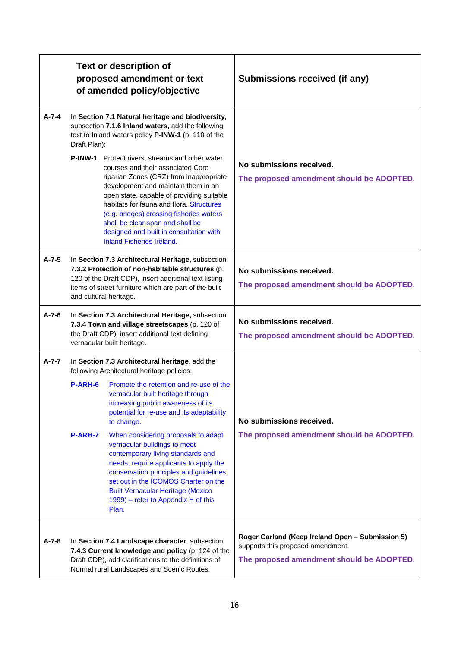|             |                                                                                                                                                                                                                                                   | <b>Text or description of</b><br>proposed amendment or text<br>of amended policy/objective                                                                                                                                                                                                                                                                                                                                                                                                                                                                                                                        | Submissions received (if any)                                                                                                      |
|-------------|---------------------------------------------------------------------------------------------------------------------------------------------------------------------------------------------------------------------------------------------------|-------------------------------------------------------------------------------------------------------------------------------------------------------------------------------------------------------------------------------------------------------------------------------------------------------------------------------------------------------------------------------------------------------------------------------------------------------------------------------------------------------------------------------------------------------------------------------------------------------------------|------------------------------------------------------------------------------------------------------------------------------------|
| A-7-4       | Draft Plan):                                                                                                                                                                                                                                      | In Section 7.1 Natural heritage and biodiversity,<br>subsection 7.1.6 Inland waters, add the following<br>text to Inland waters policy P-INW-1 (p. 110 of the<br>P-INW-1 Protect rivers, streams and other water<br>courses and their associated Core<br>riparian Zones (CRZ) from inappropriate<br>development and maintain them in an<br>open state, capable of providing suitable<br>habitats for fauna and flora. Structures<br>(e.g. bridges) crossing fisheries waters<br>shall be clear-span and shall be<br>designed and built in consultation with<br><b>Inland Fisheries Ireland.</b>                   | No submissions received.<br>The proposed amendment should be ADOPTED.                                                              |
| $A - 7 - 5$ | In Section 7.3 Architectural Heritage, subsection<br>7.3.2 Protection of non-habitable structures (p.<br>120 of the Draft CDP), insert additional text listing<br>items of street furniture which are part of the built<br>and cultural heritage. |                                                                                                                                                                                                                                                                                                                                                                                                                                                                                                                                                                                                                   | No submissions received.<br>The proposed amendment should be ADOPTED.                                                              |
| $A - 7 - 6$ | In Section 7.3 Architectural Heritage, subsection<br>7.3.4 Town and village streetscapes (p. 120 of<br>the Draft CDP), insert additional text defining<br>vernacular built heritage.                                                              |                                                                                                                                                                                                                                                                                                                                                                                                                                                                                                                                                                                                                   | No submissions received.<br>The proposed amendment should be ADOPTED.                                                              |
| $A - 7 - 7$ | <b>P-ARH-6</b><br>P-ARH-7                                                                                                                                                                                                                         | In Section 7.3 Architectural heritage, add the<br>following Architectural heritage policies:<br>Promote the retention and re-use of the<br>vernacular built heritage through<br>increasing public awareness of its<br>potential for re-use and its adaptability<br>to change.<br>When considering proposals to adapt<br>vernacular buildings to meet<br>contemporary living standards and<br>needs, require applicants to apply the<br>conservation principles and guidelines<br>set out in the ICOMOS Charter on the<br><b>Built Vernacular Heritage (Mexico</b><br>1999) – refer to Appendix H of this<br>Plan. | No submissions received.<br>The proposed amendment should be ADOPTED.                                                              |
| $A - 7 - 8$ |                                                                                                                                                                                                                                                   | In Section 7.4 Landscape character, subsection<br>7.4.3 Current knowledge and policy (p. 124 of the<br>Draft CDP), add clarifications to the definitions of<br>Normal rural Landscapes and Scenic Routes.                                                                                                                                                                                                                                                                                                                                                                                                         | Roger Garland (Keep Ireland Open - Submission 5)<br>supports this proposed amendment.<br>The proposed amendment should be ADOPTED. |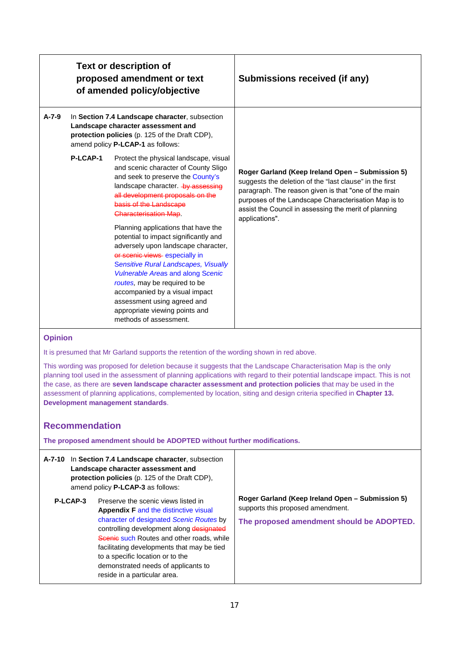|             |          | <b>Text or description of</b><br>proposed amendment or text<br>of amended policy/objective                                                                                                                                                                                                                                                                                                                                                                                                                                                                                                                                                                              | Submissions received (if any)                                                                                                                                                                                                                                                                          |
|-------------|----------|-------------------------------------------------------------------------------------------------------------------------------------------------------------------------------------------------------------------------------------------------------------------------------------------------------------------------------------------------------------------------------------------------------------------------------------------------------------------------------------------------------------------------------------------------------------------------------------------------------------------------------------------------------------------------|--------------------------------------------------------------------------------------------------------------------------------------------------------------------------------------------------------------------------------------------------------------------------------------------------------|
| $A - 7 - 9$ |          | In Section 7.4 Landscape character, subsection<br>Landscape character assessment and<br>protection policies (p. 125 of the Draft CDP),<br>amend policy P-LCAP-1 as follows:                                                                                                                                                                                                                                                                                                                                                                                                                                                                                             |                                                                                                                                                                                                                                                                                                        |
|             | P-LCAP-1 | Protect the physical landscape, visual<br>and scenic character of County Sligo<br>and seek to preserve the County's<br>landscape character. by assessing<br>all development proposals on the<br>basis of the Landscape<br><b>Characterisation Map.</b><br>Planning applications that have the<br>potential to impact significantly and<br>adversely upon landscape character,<br>or scenic views especially in<br><b>Sensitive Rural Landscapes, Visually</b><br><b>Vulnerable Areas and along Scenic</b><br>routes, may be required to be<br>accompanied by a visual impact<br>assessment using agreed and<br>appropriate viewing points and<br>methods of assessment. | Roger Garland (Keep Ireland Open - Submission 5)<br>suggests the deletion of the "last clause" in the first<br>paragraph. The reason given is that "one of the main<br>purposes of the Landscape Characterisation Map is to<br>assist the Council in assessing the merit of planning<br>applications". |

It is presumed that Mr Garland supports the retention of the wording shown in red above.

This wording was proposed for deletion because it suggests that the Landscape Characterisation Map is the only planning tool used in the assessment of planning applications with regard to their potential landscape impact. This is not the case, as there are **seven landscape character assessment and protection policies** that may be used in the assessment of planning applications, complemented by location, siting and design criteria specified in **Chapter 13. Development management standards**.

# **Recommendation**

**The proposed amendment should be ADOPTED without further modifications.**

|          | A-7-10 In Section 7.4 Landscape character, subsection<br>Landscape character assessment and<br><b>protection policies</b> (p. 125 of the Draft CDP),<br>amend policy <b>P-LCAP-3</b> as follows:                                                                                                                                                                                  |                                                                                                                                    |
|----------|-----------------------------------------------------------------------------------------------------------------------------------------------------------------------------------------------------------------------------------------------------------------------------------------------------------------------------------------------------------------------------------|------------------------------------------------------------------------------------------------------------------------------------|
| P-LCAP-3 | Preserve the scenic views listed in<br><b>Appendix F and the distinctive visual</b><br>character of designated Scenic Routes by<br>controlling development along designated<br>Scenic such Routes and other roads, while<br>facilitating developments that may be tied<br>to a specific location or to the<br>demonstrated needs of applicants to<br>reside in a particular area. | Roger Garland (Keep Ireland Open - Submission 5)<br>supports this proposed amendment.<br>The proposed amendment should be ADOPTED. |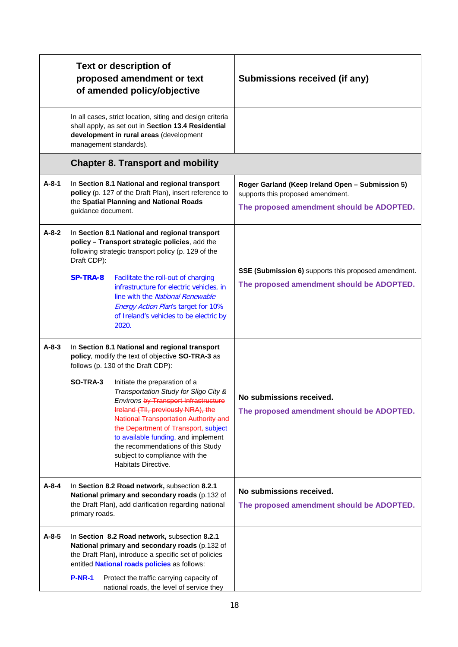|             |                                | <b>Text or description of</b><br>proposed amendment or text<br>of amended policy/objective                                                                                                                                                                                                                                                                                                                                                                                                                                               | Submissions received (if any)                                                                                                      |
|-------------|--------------------------------|------------------------------------------------------------------------------------------------------------------------------------------------------------------------------------------------------------------------------------------------------------------------------------------------------------------------------------------------------------------------------------------------------------------------------------------------------------------------------------------------------------------------------------------|------------------------------------------------------------------------------------------------------------------------------------|
|             |                                | In all cases, strict location, siting and design criteria<br>shall apply, as set out in Section 13.4 Residential<br>development in rural areas (development<br>management standards).                                                                                                                                                                                                                                                                                                                                                    |                                                                                                                                    |
|             |                                | <b>Chapter 8. Transport and mobility</b>                                                                                                                                                                                                                                                                                                                                                                                                                                                                                                 |                                                                                                                                    |
| $A-8-1$     | guidance document.             | In Section 8.1 National and regional transport<br>policy (p. 127 of the Draft Plan), insert reference to<br>the Spatial Planning and National Roads                                                                                                                                                                                                                                                                                                                                                                                      | Roger Garland (Keep Ireland Open - Submission 5)<br>supports this proposed amendment.<br>The proposed amendment should be ADOPTED. |
| $A - 8 - 2$ | Draft CDP):<br><b>SP-TRA-8</b> | In Section 8.1 National and regional transport<br>policy - Transport strategic policies, add the<br>following strategic transport policy (p. 129 of the<br>Facilitate the roll-out of charging<br>infrastructure for electric vehicles, in<br>line with the National Renewable<br><b>Energy Action Plan's target for 10%</b><br>of Ireland's vehicles to be electric by<br>2020.                                                                                                                                                         | SSE (Submission 6) supports this proposed amendment.<br>The proposed amendment should be ADOPTED.                                  |
| $A - 8 - 3$ | SO-TRA-3                       | In Section 8.1 National and regional transport<br>policy, modify the text of objective SO-TRA-3 as<br>follows (p. 130 of the Draft CDP):<br>Initiate the preparation of a<br>Transportation Study for Sligo City &<br>Environs <del>by Transport Infrastructure</del><br>Ireland (TII, previously NRA), the<br><b>National Transportation Authority and</b><br>the Department of Transport, subject<br>to available funding, and implement<br>the recommendations of this Study<br>subject to compliance with the<br>Habitats Directive. | No submissions received.<br>The proposed amendment should be ADOPTED.                                                              |
| $A - 8 - 4$ | primary roads.                 | In Section 8.2 Road network, subsection 8.2.1<br>National primary and secondary roads (p.132 of<br>the Draft Plan), add clarification regarding national                                                                                                                                                                                                                                                                                                                                                                                 | No submissions received.<br>The proposed amendment should be ADOPTED.                                                              |
| $A-8-5$     |                                | In Section 8.2 Road network, subsection 8.2.1<br>National primary and secondary roads (p.132 of<br>the Draft Plan), introduce a specific set of policies<br>entitled <b>National roads policies</b> as follows:                                                                                                                                                                                                                                                                                                                          |                                                                                                                                    |
|             | <b>P-NR-1</b>                  | Protect the traffic carrying capacity of<br>national roads, the level of service they                                                                                                                                                                                                                                                                                                                                                                                                                                                    |                                                                                                                                    |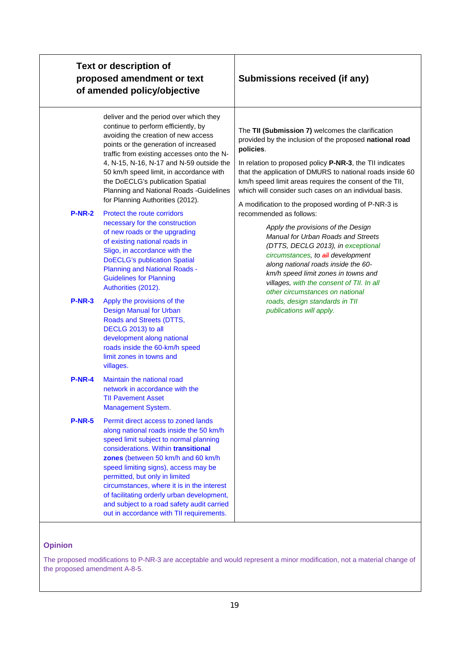|               | <b>Text or description of</b><br>proposed amendment or text<br>of amended policy/objective                                                                                                                                                                                                                                                                                                                                                                                                                                                                                                                                                                                                                                        | Submissions received (if any)                                                                                                                                                                                                                                                                                                                                                                                                                                                                                                                                                                                                                                                                                                                                                  |  |
|---------------|-----------------------------------------------------------------------------------------------------------------------------------------------------------------------------------------------------------------------------------------------------------------------------------------------------------------------------------------------------------------------------------------------------------------------------------------------------------------------------------------------------------------------------------------------------------------------------------------------------------------------------------------------------------------------------------------------------------------------------------|--------------------------------------------------------------------------------------------------------------------------------------------------------------------------------------------------------------------------------------------------------------------------------------------------------------------------------------------------------------------------------------------------------------------------------------------------------------------------------------------------------------------------------------------------------------------------------------------------------------------------------------------------------------------------------------------------------------------------------------------------------------------------------|--|
| <b>P-NR-2</b> | deliver and the period over which they<br>continue to perform efficiently, by<br>avoiding the creation of new access<br>points or the generation of increased<br>traffic from existing accesses onto the N-<br>4, N-15, N-16, N-17 and N-59 outside the<br>50 km/h speed limit, in accordance with<br>the DoECLG's publication Spatial<br>Planning and National Roads -Guidelines<br>for Planning Authorities (2012).<br>Protect the route corridors<br>necessary for the construction<br>of new roads or the upgrading<br>of existing national roads in<br>Sligo, in accordance with the<br><b>DoECLG's publication Spatial</b><br><b>Planning and National Roads -</b><br><b>Guidelines for Planning</b><br>Authorities (2012). | The TII (Submission 7) welcomes the clarification<br>provided by the inclusion of the proposed national road<br>policies.<br>In relation to proposed policy P-NR-3, the TII indicates<br>that the application of DMURS to national roads inside 60<br>km/h speed limit areas requires the consent of the TII,<br>which will consider such cases on an individual basis.<br>A modification to the proposed wording of P-NR-3 is<br>recommended as follows:<br>Apply the provisions of the Design<br>Manual for Urban Roads and Streets<br>(DTTS, DECLG 2013), in exceptional<br>circumstances, to all development<br>along national roads inside the 60-<br>km/h speed limit zones in towns and<br>villages, with the consent of TII. In all<br>other circumstances on national |  |
| <b>P-NR-3</b> | Apply the provisions of the<br><b>Design Manual for Urban</b><br>Roads and Streets (DTTS,<br>DECLG 2013) to all<br>development along national<br>roads inside the 60-km/h speed<br>limit zones in towns and<br>villages.                                                                                                                                                                                                                                                                                                                                                                                                                                                                                                          | roads, design standards in TII<br>publications will apply.                                                                                                                                                                                                                                                                                                                                                                                                                                                                                                                                                                                                                                                                                                                     |  |
| <b>P-NR-4</b> | Maintain the national road<br>network in accordance with the<br>TII Pavement Asset<br>Management System.                                                                                                                                                                                                                                                                                                                                                                                                                                                                                                                                                                                                                          |                                                                                                                                                                                                                                                                                                                                                                                                                                                                                                                                                                                                                                                                                                                                                                                |  |
| <b>P-NR-5</b> | Permit direct access to zoned lands<br>along national roads inside the 50 km/h<br>speed limit subject to normal planning<br>considerations. Within transitional<br>zones (between 50 km/h and 60 km/h<br>speed limiting signs), access may be<br>permitted, but only in limited<br>circumstances, where it is in the interest<br>of facilitating orderly urban development,<br>and subject to a road safety audit carried<br>out in accordance with TII requirements.                                                                                                                                                                                                                                                             |                                                                                                                                                                                                                                                                                                                                                                                                                                                                                                                                                                                                                                                                                                                                                                                |  |

The proposed modifications to P-NR-3 are acceptable and would represent a minor modification, not a material change of the proposed amendment A-8-5.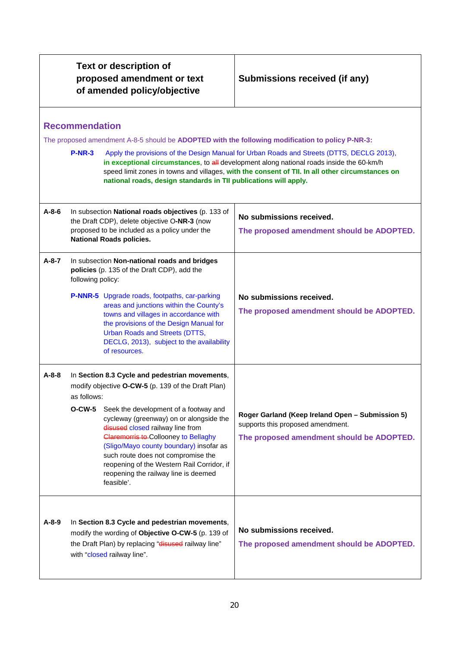|             | <b>Text or description of</b><br>proposed amendment or text<br>of amended policy/objective |                                                                                                                                                                                                                                                                                                                                                                                                                                                                  | Submissions received (if any)                                                                                                                                                                                                                                                                                                                                                                |  |
|-------------|--------------------------------------------------------------------------------------------|------------------------------------------------------------------------------------------------------------------------------------------------------------------------------------------------------------------------------------------------------------------------------------------------------------------------------------------------------------------------------------------------------------------------------------------------------------------|----------------------------------------------------------------------------------------------------------------------------------------------------------------------------------------------------------------------------------------------------------------------------------------------------------------------------------------------------------------------------------------------|--|
|             | <b>Recommendation</b><br><b>P-NR-3</b>                                                     | national roads, design standards in TII publications will apply.                                                                                                                                                                                                                                                                                                                                                                                                 | The proposed amendment A-8-5 should be ADOPTED with the following modification to policy P-NR-3:<br>Apply the provisions of the Design Manual for Urban Roads and Streets (DTTS, DECLG 2013),<br>in exceptional circumstances, to all development along national roads inside the 60-km/h<br>speed limit zones in towns and villages, with the consent of TII. In all other circumstances on |  |
| $A - 8 - 6$ |                                                                                            | In subsection National roads objectives (p. 133 of<br>the Draft CDP), delete objective O-NR-3 (now<br>proposed to be included as a policy under the<br><b>National Roads policies.</b>                                                                                                                                                                                                                                                                           | No submissions received.<br>The proposed amendment should be ADOPTED.                                                                                                                                                                                                                                                                                                                        |  |
| $A - 8 - 7$ | following policy:                                                                          | In subsection Non-national roads and bridges<br>policies (p. 135 of the Draft CDP), add the<br><b>P-NNR-5</b> Upgrade roads, footpaths, car-parking<br>areas and junctions within the County's<br>towns and villages in accordance with<br>the provisions of the Design Manual for<br><b>Urban Roads and Streets (DTTS,</b><br>DECLG, 2013), subject to the availability<br>of resources.                                                                        | No submissions received.<br>The proposed amendment should be ADOPTED.                                                                                                                                                                                                                                                                                                                        |  |
| A-8-8       | as follows:<br><b>O-CW-5</b>                                                               | In Section 8.3 Cycle and pedestrian movements,<br>modify objective O-CW-5 (p. 139 of the Draft Plan)<br>Seek the development of a footway and<br>cycleway (greenway) on or alongside the<br>disused closed railway line from<br><b>Claremorris to-Collooney to Bellaghy</b><br>(Sligo/Mayo county boundary) insofar as<br>such route does not compromise the<br>reopening of the Western Rail Corridor, if<br>reopening the railway line is deemed<br>feasible'. | Roger Garland (Keep Ireland Open - Submission 5)<br>supports this proposed amendment.<br>The proposed amendment should be ADOPTED.                                                                                                                                                                                                                                                           |  |
| $A-8-9$     |                                                                                            | In Section 8.3 Cycle and pedestrian movements,<br>modify the wording of Objective O-CW-5 (p. 139 of<br>the Draft Plan) by replacing "disused railway line"<br>with "closed railway line".                                                                                                                                                                                                                                                                        | No submissions received.<br>The proposed amendment should be ADOPTED.                                                                                                                                                                                                                                                                                                                        |  |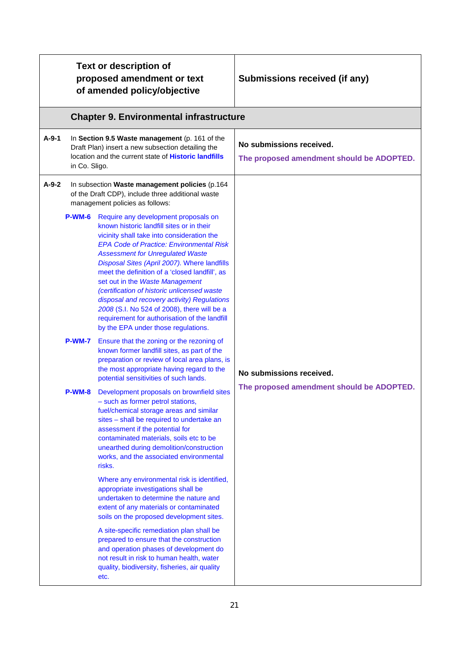|         |               | <b>Text or description of</b><br>proposed amendment or text<br>of amended policy/objective                                                                                                                                                                                                                                                                                                                                                                                                                                                                                                              | Submissions received (if any)                                         |
|---------|---------------|---------------------------------------------------------------------------------------------------------------------------------------------------------------------------------------------------------------------------------------------------------------------------------------------------------------------------------------------------------------------------------------------------------------------------------------------------------------------------------------------------------------------------------------------------------------------------------------------------------|-----------------------------------------------------------------------|
|         |               | <b>Chapter 9. Environmental infrastructure</b>                                                                                                                                                                                                                                                                                                                                                                                                                                                                                                                                                          |                                                                       |
| $A-9-1$ | in Co. Sligo. | In Section 9.5 Waste management (p. 161 of the<br>Draft Plan) insert a new subsection detailing the<br>location and the current state of Historic landfills                                                                                                                                                                                                                                                                                                                                                                                                                                             | No submissions received.<br>The proposed amendment should be ADOPTED. |
| $A-9-2$ |               | In subsection Waste management policies (p.164<br>of the Draft CDP), include three additional waste<br>management policies as follows:                                                                                                                                                                                                                                                                                                                                                                                                                                                                  |                                                                       |
|         | P-WM-6        | Require any development proposals on<br>known historic landfill sites or in their<br>vicinity shall take into consideration the<br><b>EPA Code of Practice: Environmental Risk</b><br><b>Assessment for Unregulated Waste</b><br>Disposal Sites (April 2007). Where landfills<br>meet the definition of a 'closed landfill', as<br>set out in the Waste Management<br>(certification of historic unlicensed waste<br>disposal and recovery activity) Regulations<br>2008 (S.I. No 524 of 2008), there will be a<br>requirement for authorisation of the landfill<br>by the EPA under those regulations. |                                                                       |
|         | <b>P-WM-7</b> | Ensure that the zoning or the rezoning of<br>known former landfill sites, as part of the<br>preparation or review of local area plans, is<br>the most appropriate having regard to the<br>potential sensitivities of such lands.                                                                                                                                                                                                                                                                                                                                                                        | No submissions received.                                              |
|         | P-WM-8        | Development proposals on brownfield sites<br>- such as former petrol stations,<br>fuel/chemical storage areas and similar<br>sites - shall be required to undertake an<br>assessment if the potential for<br>contaminated materials, soils etc to be<br>unearthed during demolition/construction<br>works, and the associated environmental<br>risks.                                                                                                                                                                                                                                                   | The proposed amendment should be ADOPTED.                             |
|         |               | Where any environmental risk is identified,<br>appropriate investigations shall be<br>undertaken to determine the nature and<br>extent of any materials or contaminated<br>soils on the proposed development sites.                                                                                                                                                                                                                                                                                                                                                                                     |                                                                       |
|         |               | A site-specific remediation plan shall be<br>prepared to ensure that the construction<br>and operation phases of development do<br>not result in risk to human health, water<br>quality, biodiversity, fisheries, air quality<br>etc.                                                                                                                                                                                                                                                                                                                                                                   |                                                                       |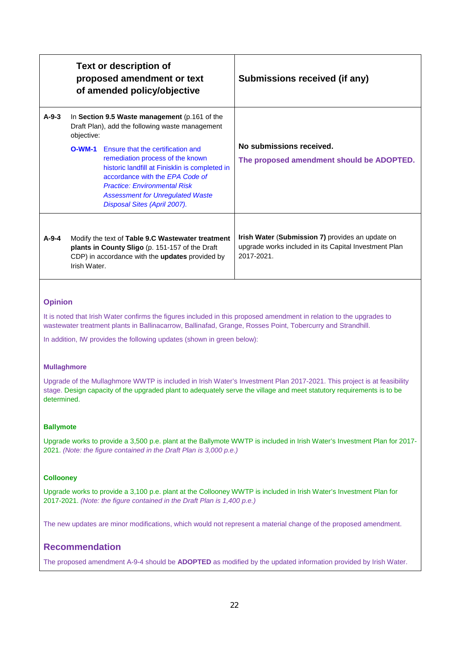|         |              | <b>Text or description of</b><br>proposed amendment or text<br>of amended policy/objective                                                                                                                                                                                   | Submissions received (if any)                                                                                           |
|---------|--------------|------------------------------------------------------------------------------------------------------------------------------------------------------------------------------------------------------------------------------------------------------------------------------|-------------------------------------------------------------------------------------------------------------------------|
| $A-9-3$ | objective:   | In Section 9.5 Waste management (p.161 of the<br>Draft Plan), add the following waste management                                                                                                                                                                             |                                                                                                                         |
|         | $O-WM-1$     | Ensure that the certification and<br>remediation process of the known<br>historic landfill at Finisklin is completed in<br>accordance with the EPA Code of<br><b>Practice: Environmental Risk</b><br><b>Assessment for Unregulated Waste</b><br>Disposal Sites (April 2007). | No submissions received.<br>The proposed amendment should be ADOPTED.                                                   |
| $A-9-4$ | Irish Water. | Modify the text of Table 9.C Wastewater treatment<br>plants in County Sligo (p. 151-157 of the Draft<br>CDP) in accordance with the <b>updates</b> provided by                                                                                                               | Irish Water (Submission 7) provides an update on<br>upgrade works included in its Capital Investment Plan<br>2017-2021. |

It is noted that Irish Water confirms the figures included in this proposed amendment in relation to the upgrades to wastewater treatment plants in Ballinacarrow, Ballinafad, Grange, Rosses Point, Tobercurry and Strandhill.

In addition, IW provides the following updates (shown in green below):

#### **Mullaghmore**

Upgrade of the Mullaghmore WWTP is included in Irish Water's Investment Plan 2017-2021. This project is at feasibility stage. Design capacity of the upgraded plant to adequately serve the village and meet statutory requirements is to be determined.

#### **Ballymote**

Upgrade works to provide a 3,500 p.e. plant at the Ballymote WWTP is included in Irish Water's Investment Plan for 2017- 2021. *(Note: the figure contained in the Draft Plan is 3,000 p.e.)*

#### **Collooney**

Upgrade works to provide a 3,100 p.e. plant at the Collooney WWTP is included in Irish Water's Investment Plan for 2017-2021. *(Note: the figure contained in the Draft Plan is 1,400 p.e.)*

The new updates are minor modifications, which would not represent a material change of the proposed amendment.

# **Recommendation**

The proposed amendment A-9-4 should be **ADOPTED** as modified by the updated information provided by Irish Water.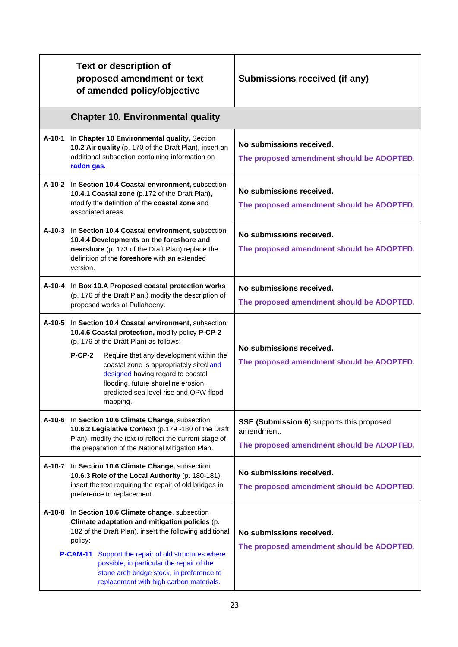|        | <b>Text or description of</b><br>proposed amendment or text<br>of amended policy/objective                                                                                                                                                                                                                                                                                              | Submissions received (if any)                                                                               |
|--------|-----------------------------------------------------------------------------------------------------------------------------------------------------------------------------------------------------------------------------------------------------------------------------------------------------------------------------------------------------------------------------------------|-------------------------------------------------------------------------------------------------------------|
|        | <b>Chapter 10. Environmental quality</b>                                                                                                                                                                                                                                                                                                                                                |                                                                                                             |
| A-10-1 | In Chapter 10 Environmental quality, Section<br>10.2 Air quality (p. 170 of the Draft Plan), insert an<br>additional subsection containing information on<br>radon gas.                                                                                                                                                                                                                 | No submissions received.<br>The proposed amendment should be ADOPTED.                                       |
|        | A-10-2 In Section 10.4 Coastal environment, subsection<br>10.4.1 Coastal zone (p.172 of the Draft Plan),<br>modify the definition of the coastal zone and<br>associated areas.                                                                                                                                                                                                          | No submissions received.<br>The proposed amendment should be ADOPTED.                                       |
|        | A-10-3 In Section 10.4 Coastal environment, subsection<br>10.4.4 Developments on the foreshore and<br>nearshore (p. 173 of the Draft Plan) replace the<br>definition of the <b>foreshore</b> with an extended<br>version.                                                                                                                                                               | No submissions received.<br>The proposed amendment should be ADOPTED.                                       |
| A-10-4 | In Box 10.A Proposed coastal protection works<br>(p. 176 of the Draft Plan,) modify the description of<br>proposed works at Pullaheeny.                                                                                                                                                                                                                                                 | No submissions received.<br>The proposed amendment should be ADOPTED.                                       |
|        | A-10-5 In Section 10.4 Coastal environment, subsection<br>10.4.6 Coastal protection, modify policy P-CP-2<br>(p. 176 of the Draft Plan) as follows:<br>$P-CP-2$<br>Require that any development within the<br>coastal zone is appropriately sited and<br>designed having regard to coastal<br>flooding, future shoreline erosion,<br>predicted sea level rise and OPW flood<br>mapping. | No submissions received.<br>The proposed amendment should be ADOPTED.                                       |
| A-10-6 | In Section 10.6 Climate Change, subsection<br>10.6.2 Legislative Context (p.179 -180 of the Draft<br>Plan), modify the text to reflect the current stage of<br>the preparation of the National Mitigation Plan.                                                                                                                                                                         | <b>SSE (Submission 6)</b> supports this proposed<br>amendment.<br>The proposed amendment should be ADOPTED. |
|        | A-10-7 In Section 10.6 Climate Change, subsection<br>10.6.3 Role of the Local Authority (p. 180-181),<br>insert the text requiring the repair of old bridges in<br>preference to replacement.                                                                                                                                                                                           | No submissions received.<br>The proposed amendment should be ADOPTED.                                       |
| A-10-8 | In Section 10.6 Climate change, subsection<br>Climate adaptation and mitigation policies (p.<br>182 of the Draft Plan), insert the following additional<br>policy:<br>Support the repair of old structures where<br>P-CAM-11<br>possible, in particular the repair of the<br>stone arch bridge stock, in preference to<br>replacement with high carbon materials.                       | No submissions received.<br>The proposed amendment should be ADOPTED.                                       |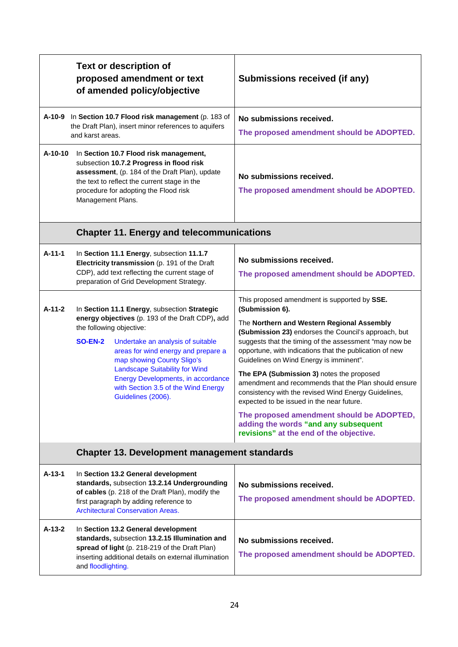|          | <b>Text or description of</b><br>proposed amendment or text<br>of amended policy/objective                                                                                                                                                                                                                                                                                                           | Submissions received (if any)                                                                                                                                                                                                                                                                                                                                                                                                                                                                                                                                                                                                                                                   |
|----------|------------------------------------------------------------------------------------------------------------------------------------------------------------------------------------------------------------------------------------------------------------------------------------------------------------------------------------------------------------------------------------------------------|---------------------------------------------------------------------------------------------------------------------------------------------------------------------------------------------------------------------------------------------------------------------------------------------------------------------------------------------------------------------------------------------------------------------------------------------------------------------------------------------------------------------------------------------------------------------------------------------------------------------------------------------------------------------------------|
|          | A-10-9 In Section 10.7 Flood risk management (p. 183 of<br>the Draft Plan), insert minor references to aquifers<br>and karst areas.                                                                                                                                                                                                                                                                  | No submissions received.<br>The proposed amendment should be ADOPTED.                                                                                                                                                                                                                                                                                                                                                                                                                                                                                                                                                                                                           |
| A-10-10  | In Section 10.7 Flood risk management,<br>subsection 10.7.2 Progress in flood risk<br>assessment, (p. 184 of the Draft Plan), update<br>the text to reflect the current stage in the<br>procedure for adopting the Flood risk<br>Management Plans.                                                                                                                                                   | No submissions received.<br>The proposed amendment should be ADOPTED.                                                                                                                                                                                                                                                                                                                                                                                                                                                                                                                                                                                                           |
|          | <b>Chapter 11. Energy and telecommunications</b>                                                                                                                                                                                                                                                                                                                                                     |                                                                                                                                                                                                                                                                                                                                                                                                                                                                                                                                                                                                                                                                                 |
| A-11-1   | In Section 11.1 Energy, subsection 11.1.7<br>Electricity transmission (p. 191 of the Draft<br>CDP), add text reflecting the current stage of<br>preparation of Grid Development Strategy.                                                                                                                                                                                                            | No submissions received.<br>The proposed amendment should be ADOPTED.                                                                                                                                                                                                                                                                                                                                                                                                                                                                                                                                                                                                           |
| $A-11-2$ | In Section 11.1 Energy, subsection Strategic<br>energy objectives (p. 193 of the Draft CDP), add<br>the following objective:<br><b>SO-EN-2</b><br>Undertake an analysis of suitable<br>areas for wind energy and prepare a<br>map showing County Sligo's<br><b>Landscape Suitability for Wind</b><br>Energy Developments, in accordance<br>with Section 3.5 of the Wind Energy<br>Guidelines (2006). | This proposed amendment is supported by SSE.<br>(Submission 6).<br>The Northern and Western Regional Assembly<br>(Submission 23) endorses the Council's approach, but<br>suggests that the timing of the assessment "may now be<br>opportune, with indications that the publication of new<br>Guidelines on Wind Energy is imminent".<br>The EPA (Submission 3) notes the proposed<br>amendment and recommends that the Plan should ensure<br>consistency with the revised Wind Energy Guidelines,<br>expected to be issued in the near future.<br>The proposed amendment should be ADOPTED,<br>adding the words "and any subsequent<br>revisions" at the end of the objective. |
|          | <b>Chapter 13. Development management standards</b>                                                                                                                                                                                                                                                                                                                                                  |                                                                                                                                                                                                                                                                                                                                                                                                                                                                                                                                                                                                                                                                                 |
| A-13-1   | In Section 13.2 General development<br>standards, subsection 13.2.14 Undergrounding<br>of cables (p. 218 of the Draft Plan), modify the<br>first paragraph by adding reference to<br><b>Architectural Conservation Areas.</b>                                                                                                                                                                        | No submissions received.<br>The proposed amendment should be ADOPTED.                                                                                                                                                                                                                                                                                                                                                                                                                                                                                                                                                                                                           |
| A-13-2   | In Section 13.2 General development<br>standards, subsection 13.2.15 Illumination and<br>spread of light (p. 218-219 of the Draft Plan)<br>inserting additional details on external illumination<br>and floodlighting.                                                                                                                                                                               | No submissions received.<br>The proposed amendment should be ADOPTED.                                                                                                                                                                                                                                                                                                                                                                                                                                                                                                                                                                                                           |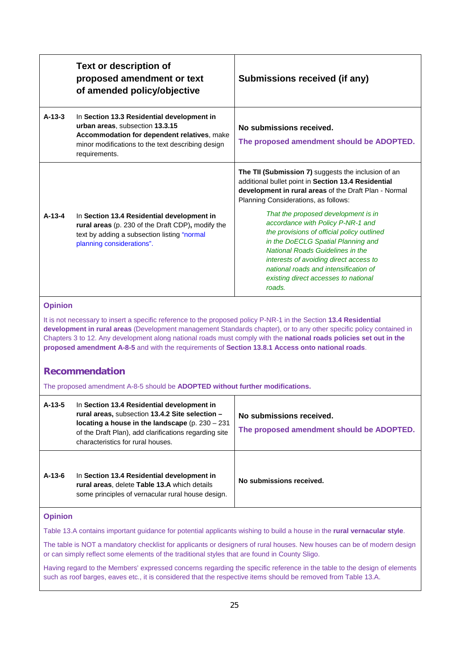|                                                                                                                                                                                                                                                                                                                                                                                                                                                                   | <b>Text or description of</b><br>proposed amendment or text<br>of amended policy/objective                                                                                                         | Submissions received (if any)                                                                                                                                                                                                                                                                                                                |  |
|-------------------------------------------------------------------------------------------------------------------------------------------------------------------------------------------------------------------------------------------------------------------------------------------------------------------------------------------------------------------------------------------------------------------------------------------------------------------|----------------------------------------------------------------------------------------------------------------------------------------------------------------------------------------------------|----------------------------------------------------------------------------------------------------------------------------------------------------------------------------------------------------------------------------------------------------------------------------------------------------------------------------------------------|--|
| $A-13-3$                                                                                                                                                                                                                                                                                                                                                                                                                                                          | In Section 13.3 Residential development in<br>urban areas, subsection 13.3.15<br>Accommodation for dependent relatives, make<br>minor modifications to the text describing design<br>requirements. | No submissions received.<br>The proposed amendment should be ADOPTED.                                                                                                                                                                                                                                                                        |  |
|                                                                                                                                                                                                                                                                                                                                                                                                                                                                   |                                                                                                                                                                                                    | The TII (Submission 7) suggests the inclusion of an<br>additional bullet point in Section 13.4 Residential<br>development in rural areas of the Draft Plan - Normal<br>Planning Considerations, as follows:                                                                                                                                  |  |
| $A-13-4$                                                                                                                                                                                                                                                                                                                                                                                                                                                          | In Section 13.4 Residential development in<br>rural areas (p. 230 of the Draft CDP), modify the<br>text by adding a subsection listing "normal<br>planning considerations".                        | That the proposed development is in<br>accordance with Policy P-NR-1 and<br>the provisions of official policy outlined<br>in the DoECLG Spatial Planning and<br><b>National Roads Guidelines in the</b><br>interests of avoiding direct access to<br>national roads and intensification of<br>existing direct accesses to national<br>roads. |  |
| <b>Opinion</b>                                                                                                                                                                                                                                                                                                                                                                                                                                                    |                                                                                                                                                                                                    |                                                                                                                                                                                                                                                                                                                                              |  |
| It is not necessary to insert a specific reference to the proposed policy P-NR-1 in the Section 13.4 Residential<br>development in rural areas (Development management Standards chapter), or to any other specific policy contained in<br>Chapters 3 to 12. Any development along national roads must comply with the national roads policies set out in the<br>proposed amendment A-8-5 and with the requirements of Section 13.8.1 Access onto national roads. |                                                                                                                                                                                                    |                                                                                                                                                                                                                                                                                                                                              |  |
|                                                                                                                                                                                                                                                                                                                                                                                                                                                                   | <b>Recommendation</b>                                                                                                                                                                              |                                                                                                                                                                                                                                                                                                                                              |  |
| The proposed amendment A-8-5 should be ADOPTED without further modifications.                                                                                                                                                                                                                                                                                                                                                                                     |                                                                                                                                                                                                    |                                                                                                                                                                                                                                                                                                                                              |  |

| $A-13-5$ | In Section 13.4 Residential development in<br>rural areas, subsection 13.4.2 Site selection -<br>locating a house in the landscape (p. $230 - 231$ )<br>of the Draft Plan), add clarifications regarding site<br>characteristics for rural houses. | No submissions received.<br>The proposed amendment should be ADOPTED. |
|----------|----------------------------------------------------------------------------------------------------------------------------------------------------------------------------------------------------------------------------------------------------|-----------------------------------------------------------------------|
| $A-13-6$ | In Section 13.4 Residential development in<br>rural areas, delete Table 13.A which details<br>some principles of vernacular rural house design.                                                                                                    | No submissions received.                                              |

Table 13.A contains important guidance for potential applicants wishing to build a house in the **rural vernacular style**.

The table is NOT a mandatory checklist for applicants or designers of rural houses. New houses can be of modern design or can simply reflect some elements of the traditional styles that are found in County Sligo.

Having regard to the Members' expressed concerns regarding the specific reference in the table to the design of elements such as roof barges, eaves etc., it is considered that the respective items should be removed from Table 13.A.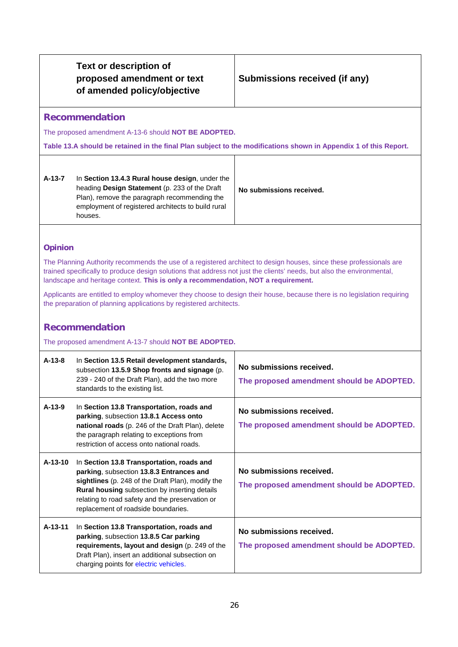# **Submissions received (if any)**

# **Recommendation**

The proposed amendment A-13-6 should **NOT BE ADOPTED.**

**Table 13.A should be retained in the final Plan subject to the modifications shown in Appendix 1 of this Report.**

| A-13-7 | In Section 13.4.3 Rural house design, under the<br>heading <b>Design Statement</b> (p. 233 of the Draft<br>Plan), remove the paragraph recommending the<br>employment of registered architects to build rural<br>houses. | No submissions received. |
|--------|--------------------------------------------------------------------------------------------------------------------------------------------------------------------------------------------------------------------------|--------------------------|
|--------|--------------------------------------------------------------------------------------------------------------------------------------------------------------------------------------------------------------------------|--------------------------|

# **Opinion**

The Planning Authority recommends the use of a registered architect to design houses, since these professionals are trained specifically to produce design solutions that address not just the clients' needs, but also the environmental, landscape and heritage context. **This is only a recommendation, NOT a requirement.** 

Applicants are entitled to employ whomever they choose to design their house, because there is no legislation requiring the preparation of planning applications by registered architects.

# **Recommendation**

The proposed amendment A-13-7 should **NOT BE ADOPTED.**

| $A-13-8$  | In Section 13.5 Retail development standards,<br>subsection 13.5.9 Shop fronts and signage (p.<br>239 - 240 of the Draft Plan), add the two more<br>standards to the existing list.                                                                                                          | No submissions received.<br>The proposed amendment should be ADOPTED. |
|-----------|----------------------------------------------------------------------------------------------------------------------------------------------------------------------------------------------------------------------------------------------------------------------------------------------|-----------------------------------------------------------------------|
| $A-13-9$  | In Section 13.8 Transportation, roads and<br>parking, subsection 13.8.1 Access onto<br>national roads (p. 246 of the Draft Plan), delete<br>the paragraph relating to exceptions from<br>restriction of access onto national roads.                                                          | No submissions received.<br>The proposed amendment should be ADOPTED. |
| $A-13-10$ | In Section 13.8 Transportation, roads and<br>parking, subsection 13.8.3 Entrances and<br>sightlines (p. 248 of the Draft Plan), modify the<br><b>Rural housing</b> subsection by inserting details<br>relating to road safety and the preservation or<br>replacement of roadside boundaries. | No submissions received.<br>The proposed amendment should be ADOPTED. |
| A-13-11   | In Section 13.8 Transportation, roads and<br>parking, subsection 13.8.5 Car parking<br>requirements, layout and design (p. 249 of the<br>Draft Plan), insert an additional subsection on<br>charging points for electric vehicles.                                                           | No submissions received.<br>The proposed amendment should be ADOPTED. |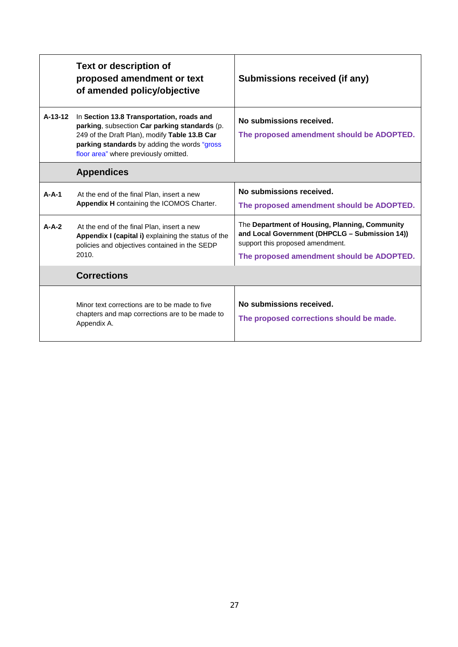|         | <b>Text or description of</b><br>proposed amendment or text<br>of amended policy/objective                                                                                                                                           | Submissions received (if any)                                                                                                                                                     |
|---------|--------------------------------------------------------------------------------------------------------------------------------------------------------------------------------------------------------------------------------------|-----------------------------------------------------------------------------------------------------------------------------------------------------------------------------------|
| A-13-12 | In Section 13.8 Transportation, roads and<br>parking, subsection Car parking standards (p.<br>249 of the Draft Plan), modify Table 13.B Car<br>parking standards by adding the words "gross<br>floor area" where previously omitted. | No submissions received.<br>The proposed amendment should be ADOPTED.                                                                                                             |
|         | <b>Appendices</b>                                                                                                                                                                                                                    |                                                                                                                                                                                   |
| $A-A-1$ | At the end of the final Plan, insert a new<br>Appendix H containing the ICOMOS Charter.                                                                                                                                              | No submissions received.<br>The proposed amendment should be ADOPTED.                                                                                                             |
| $A-A-2$ | At the end of the final Plan, insert a new<br>Appendix I (capital i) explaining the status of the<br>policies and objectives contained in the SEDP<br>2010.                                                                          | The Department of Housing, Planning, Community<br>and Local Government (DHPCLG - Submission 14))<br>support this proposed amendment.<br>The proposed amendment should be ADOPTED. |
|         | <b>Corrections</b>                                                                                                                                                                                                                   |                                                                                                                                                                                   |
|         | Minor text corrections are to be made to five<br>chapters and map corrections are to be made to<br>Appendix A.                                                                                                                       | No submissions received.<br>The proposed corrections should be made.                                                                                                              |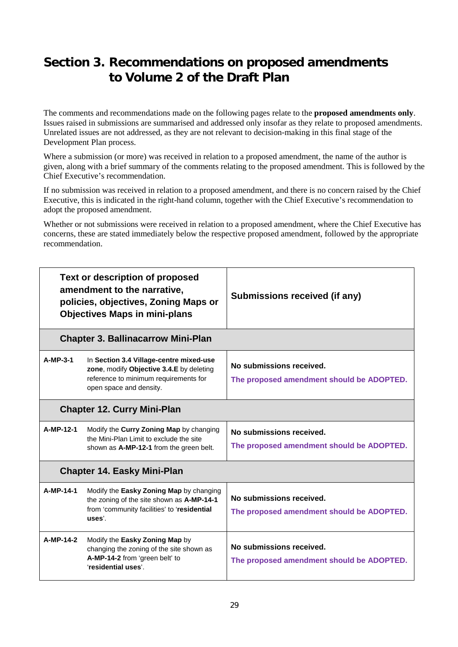# **Section 3. Recommendations on proposed amendments to Volume 2 of the Draft Plan**

The comments and recommendations made on the following pages relate to the **proposed amendments only**. Issues raised in submissions are summarised and addressed only insofar as they relate to proposed amendments. Unrelated issues are not addressed, as they are not relevant to decision-making in this final stage of the Development Plan process.

Where a submission (or more) was received in relation to a proposed amendment, the name of the author is given, along with a brief summary of the comments relating to the proposed amendment. This is followed by the Chief Executive's recommendation.

If no submission was received in relation to a proposed amendment, and there is no concern raised by the Chief Executive, this is indicated in the right-hand column, together with the Chief Executive's recommendation to adopt the proposed amendment.

Whether or not submissions were received in relation to a proposed amendment, where the Chief Executive has concerns, these are stated immediately below the respective proposed amendment, followed by the appropriate recommendation.

| <b>Text or description of proposed</b><br>amendment to the narrative,<br>policies, objectives, Zoning Maps or<br><b>Objectives Maps in mini-plans</b> |                                                                                                                                                         | Submissions received (if any)                                         |  |
|-------------------------------------------------------------------------------------------------------------------------------------------------------|---------------------------------------------------------------------------------------------------------------------------------------------------------|-----------------------------------------------------------------------|--|
|                                                                                                                                                       | <b>Chapter 3. Ballinacarrow Mini-Plan</b>                                                                                                               |                                                                       |  |
| A-MP-3-1                                                                                                                                              | In Section 3.4 Village-centre mixed-use<br>zone, modify Objective 3.4.E by deleting<br>reference to minimum requirements for<br>open space and density. | No submissions received.<br>The proposed amendment should be ADOPTED. |  |
|                                                                                                                                                       | <b>Chapter 12. Curry Mini-Plan</b>                                                                                                                      |                                                                       |  |
| A-MP-12-1                                                                                                                                             | Modify the Curry Zoning Map by changing<br>the Mini-Plan Limit to exclude the site<br>shown as A-MP-12-1 from the green belt.                           | No submissions received.<br>The proposed amendment should be ADOPTED. |  |
|                                                                                                                                                       | <b>Chapter 14. Easky Mini-Plan</b>                                                                                                                      |                                                                       |  |
| A-MP-14-1                                                                                                                                             | Modify the Easky Zoning Map by changing<br>the zoning of the site shown as A-MP-14-1<br>from 'community facilities' to 'residential<br>uses'.           | No submissions received.<br>The proposed amendment should be ADOPTED. |  |
| A-MP-14-2                                                                                                                                             | Modify the Easky Zoning Map by<br>changing the zoning of the site shown as<br>A-MP-14-2 from 'green belt' to<br>'residential uses'.                     | No submissions received.<br>The proposed amendment should be ADOPTED. |  |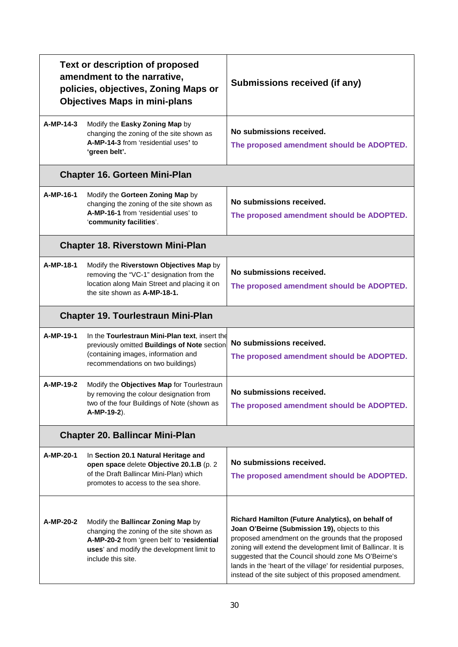| <b>Text or description of proposed</b><br>amendment to the narrative,<br>policies, objectives, Zoning Maps or<br><b>Objectives Maps in mini-plans</b> |                                                                                                                                                                                                  | Submissions received (if any)                                                                                                                                                                                                                                                                                                                                                                                  |  |
|-------------------------------------------------------------------------------------------------------------------------------------------------------|--------------------------------------------------------------------------------------------------------------------------------------------------------------------------------------------------|----------------------------------------------------------------------------------------------------------------------------------------------------------------------------------------------------------------------------------------------------------------------------------------------------------------------------------------------------------------------------------------------------------------|--|
| A-MP-14-3                                                                                                                                             | Modify the Easky Zoning Map by<br>changing the zoning of the site shown as<br>A-MP-14-3 from 'residential uses' to<br>'green belt'.                                                              | No submissions received.<br>The proposed amendment should be ADOPTED.                                                                                                                                                                                                                                                                                                                                          |  |
|                                                                                                                                                       | <b>Chapter 16. Gorteen Mini-Plan</b>                                                                                                                                                             |                                                                                                                                                                                                                                                                                                                                                                                                                |  |
| A-MP-16-1                                                                                                                                             | Modify the Gorteen Zoning Map by<br>changing the zoning of the site shown as<br>A-MP-16-1 from 'residential uses' to<br>'community facilities'.                                                  | No submissions received.<br>The proposed amendment should be ADOPTED.                                                                                                                                                                                                                                                                                                                                          |  |
|                                                                                                                                                       | <b>Chapter 18. Riverstown Mini-Plan</b>                                                                                                                                                          |                                                                                                                                                                                                                                                                                                                                                                                                                |  |
| A-MP-18-1                                                                                                                                             | Modify the Riverstown Objectives Map by<br>removing the "VC-1" designation from the<br>location along Main Street and placing it on<br>the site shown as A-MP-18-1.                              | No submissions received.<br>The proposed amendment should be ADOPTED.                                                                                                                                                                                                                                                                                                                                          |  |
|                                                                                                                                                       | <b>Chapter 19. Tourlestraun Mini-Plan</b>                                                                                                                                                        |                                                                                                                                                                                                                                                                                                                                                                                                                |  |
| A-MP-19-1                                                                                                                                             | In the Tourlestraun Mini-Plan text, insert the<br>previously omitted Buildings of Note section<br>(containing images, information and<br>recommendations on two buildings)                       | No submissions received.<br>The proposed amendment should be ADOPTED.                                                                                                                                                                                                                                                                                                                                          |  |
| A-MP-19-2                                                                                                                                             | Modify the Objectives Map for Tourlestraun<br>by removing the colour designation from<br>two of the four Buildings of Note (shown as<br>A-MP-19-2).                                              | No submissions received.<br>The proposed amendment should be ADOPTED.                                                                                                                                                                                                                                                                                                                                          |  |
|                                                                                                                                                       | <b>Chapter 20. Ballincar Mini-Plan</b>                                                                                                                                                           |                                                                                                                                                                                                                                                                                                                                                                                                                |  |
| A-MP-20-1                                                                                                                                             | In Section 20.1 Natural Heritage and<br>open space delete Objective 20.1.B (p. 2<br>of the Draft Ballincar Mini-Plan) which<br>promotes to access to the sea shore.                              | No submissions received.<br>The proposed amendment should be ADOPTED.                                                                                                                                                                                                                                                                                                                                          |  |
| A-MP-20-2                                                                                                                                             | Modify the Ballincar Zoning Map by<br>changing the zoning of the site shown as<br>A-MP-20-2 from 'green belt' to 'residential<br>uses' and modify the development limit to<br>include this site. | Richard Hamilton (Future Analytics), on behalf of<br>Joan O'Beirne (Submission 19), objects to this<br>proposed amendment on the grounds that the proposed<br>zoning will extend the development limit of Ballincar. It is<br>suggested that the Council should zone Ms O'Beirne's<br>lands in the 'heart of the village' for residential purposes,<br>instead of the site subject of this proposed amendment. |  |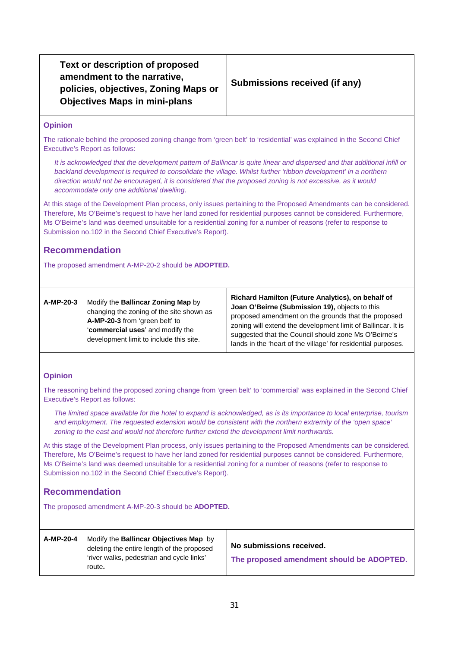**Text or description of proposed amendment to the narrative, policies, objectives, Zoning Maps or Objectives Maps in mini-plans**

# **Submissions received (if any)**

#### **Opinion**

The rationale behind the proposed zoning change from 'green belt' to 'residential' was explained in the Second Chief Executive's Report as follows:

*It is acknowledged that the development pattern of Ballincar is quite linear and dispersed and that additional infill or backland development is required to consolidate the village. Whilst further 'ribbon development' in a northern direction would not be encouraged, it is considered that the proposed zoning is not excessive, as it would accommodate only one additional dwelling*.

At this stage of the Development Plan process, only issues pertaining to the Proposed Amendments can be considered. Therefore, Ms O'Beirne's request to have her land zoned for residential purposes cannot be considered. Furthermore, Ms O'Beirne's land was deemed unsuitable for a residential zoning for a number of reasons (refer to response to Submission no.102 in the Second Chief Executive's Report).

# **Recommendation**

The proposed amendment A-MP-20-2 should be **ADOPTED.**

| Modify the <b>Ballincar Zoning Map</b> by | <b>Richard Hamilton (Future Analytics), on behalf of</b>      |
|-------------------------------------------|---------------------------------------------------------------|
| A-MP-20-3                                 | Joan O'Beirne (Submission 19), objects to this                |
| changing the zoning of the site shown as  | proposed amendment on the grounds that the proposed           |
| A-MP-20-3 from 'green belt' to            | zoning will extend the development limit of Ballincar. It is  |
| 'commercial uses' and modify the          | suggested that the Council should zone Ms O'Beirne's          |
| development limit to include this site.   | lands in the 'heart of the village' for residential purposes. |

#### **Opinion**

The reasoning behind the proposed zoning change from 'green belt' to 'commercial' was explained in the Second Chief Executive's Report as follows:

*The limited space available for the hotel to expand is acknowledged, as is its importance to local enterprise, tourism and employment. The requested extension would be consistent with the northern extremity of the 'open space' zoning to the east and would not therefore further extend the development limit northwards.*

At this stage of the Development Plan process, only issues pertaining to the Proposed Amendments can be considered. Therefore, Ms O'Beirne's request to have her land zoned for residential purposes cannot be considered. Furthermore, Ms O'Beirne's land was deemed unsuitable for a residential zoning for a number of reasons (refer to response to Submission no.102 in the Second Chief Executive's Report).

# **Recommendation**

The proposed amendment A-MP-20-3 should be **ADOPTED.**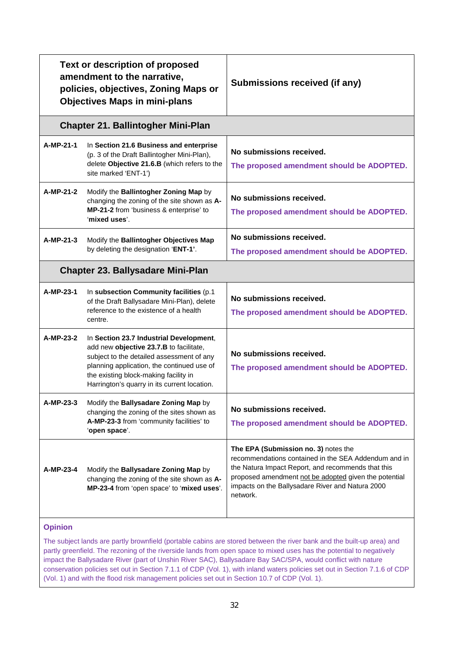|                | Text or description of proposed<br>amendment to the narrative,<br>policies, objectives, Zoning Maps or<br><b>Objectives Maps in mini-plans</b>                                                                                                                         | Submissions received (if any)                                                                                                                                                                                                                                               |
|----------------|------------------------------------------------------------------------------------------------------------------------------------------------------------------------------------------------------------------------------------------------------------------------|-----------------------------------------------------------------------------------------------------------------------------------------------------------------------------------------------------------------------------------------------------------------------------|
|                | <b>Chapter 21. Ballintogher Mini-Plan</b>                                                                                                                                                                                                                              |                                                                                                                                                                                                                                                                             |
| A-MP-21-1      | In Section 21.6 Business and enterprise<br>(p. 3 of the Draft Ballintogher Mini-Plan),<br>delete Objective 21.6.B (which refers to the<br>site marked 'ENT-1')                                                                                                         | No submissions received.<br>The proposed amendment should be ADOPTED.                                                                                                                                                                                                       |
| A-MP-21-2      | Modify the Ballintogher Zoning Map by<br>changing the zoning of the site shown as A-<br>MP-21-2 from 'business & enterprise' to<br>'mixed uses'.                                                                                                                       | No submissions received.<br>The proposed amendment should be ADOPTED.                                                                                                                                                                                                       |
| A-MP-21-3      | Modify the Ballintogher Objectives Map<br>by deleting the designation 'ENT-1'.                                                                                                                                                                                         | No submissions received.<br>The proposed amendment should be ADOPTED.                                                                                                                                                                                                       |
|                | <b>Chapter 23. Ballysadare Mini-Plan</b>                                                                                                                                                                                                                               |                                                                                                                                                                                                                                                                             |
| A-MP-23-1      | In subsection Community facilities (p.1<br>of the Draft Ballysadare Mini-Plan), delete<br>reference to the existence of a health<br>centre.                                                                                                                            | No submissions received.<br>The proposed amendment should be ADOPTED.                                                                                                                                                                                                       |
| A-MP-23-2      | In Section 23.7 Industrial Development,<br>add new objective 23.7.B to facilitate,<br>subject to the detailed assessment of any<br>planning application, the continued use of<br>the existing block-making facility in<br>Harrington's quarry in its current location. | No submissions received.<br>The proposed amendment should be ADOPTED.                                                                                                                                                                                                       |
| A-MP-23-3      | Modify the Ballysadare Zoning Map by<br>changing the zoning of the sites shown as<br>A-MP-23-3 from 'community facilities' to<br>'open space'.                                                                                                                         | No submissions received.<br>The proposed amendment should be ADOPTED.                                                                                                                                                                                                       |
| A-MP-23-4      | Modify the Ballysadare Zoning Map by<br>changing the zoning of the site shown as A-<br>MP-23-4 from 'open space' to 'mixed uses'.                                                                                                                                      | The EPA (Submission no. 3) notes the<br>recommendations contained in the SEA Addendum and in<br>the Natura Impact Report, and recommends that this<br>proposed amendment not be adopted given the potential<br>impacts on the Ballysadare River and Natura 2000<br>network. |
| <b>Opinion</b> |                                                                                                                                                                                                                                                                        |                                                                                                                                                                                                                                                                             |

The subject lands are partly brownfield (portable cabins are stored between the river bank and the built-up area) and partly greenfield. The rezoning of the riverside lands from open space to mixed uses has the potential to negatively impact the Ballysadare River (part of Unshin River SAC), Ballysadare Bay SAC/SPA, would conflict with nature conservation policies set out in Section 7.1.1 of CDP (Vol. 1), with inland waters policies set out in Section 7.1.6 of CDP (Vol. 1) and with the flood risk management policies set out in Section 10.7 of CDP (Vol. 1).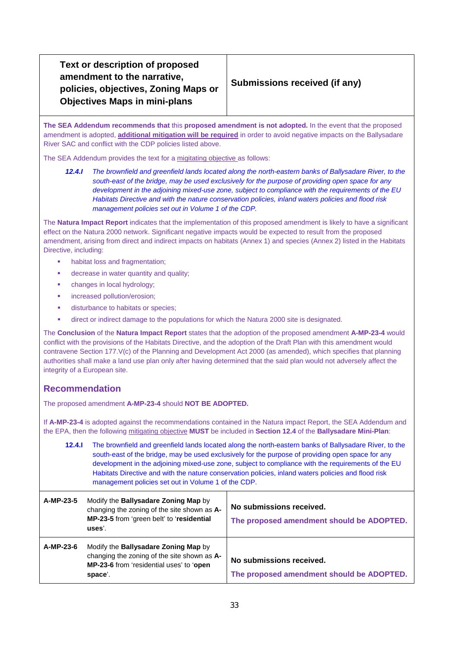**Text or description of proposed amendment to the narrative, policies, objectives, Zoning Maps or Objectives Maps in mini-plans**

# **Submissions received (if any)**

**The SEA Addendum recommends that** this **proposed amendment is not adopted.** In the event that the proposed amendment is adopted, **additional mitigation will be required** in order to avoid negative impacts on the Ballysadare River SAC and conflict with the CDP policies listed above.

The SEA Addendum provides the text for a migitating objective as follows:

*12.4.I The brownfield and greenfield lands located along the north-eastern banks of Ballysadare River, to the south-east of the bridge, may be used exclusively for the purpose of providing open space for any development in the adjoining mixed-use zone, subject to compliance with the requirements of the EU Habitats Directive and with the nature conservation policies, inland waters policies and flood risk management policies set out in Volume 1 of the CDP.*

The **Natura Impact Report** indicates that the implementation of this proposed amendment is likely to have a significant effect on the Natura 2000 network. Significant negative impacts would be expected to result from the proposed amendment, arising from direct and indirect impacts on habitats (Annex 1) and species (Annex 2) listed in the Habitats Directive, including:

- habitat loss and fragmentation;
- **decrease in water quantity and quality;**
- changes in local hydrology;
- increased pollution/erosion;
- **disturbance to habitats or species;**
- direct or indirect damage to the populations for which the Natura 2000 site is designated.

The **Conclusion** of the **Natura Impact Report** states that the adoption of the proposed amendment **A-MP-23-4** would conflict with the provisions of the Habitats Directive, and the adoption of the Draft Plan with this amendment would contravene Section 177.V(c) of the Planning and Development Act 2000 (as amended), which specifies that planning authorities shall make a land use plan only after having determined that the said plan would not adversely affect the integrity of a European site.

# **Recommendation**

The proposed amendment **A-MP-23-4** should **NOT BE ADOPTED.**

If **A-MP-23-4** is adopted against the recommendations contained in the Natura impact Report, the SEA Addendum and the EPA, then the following mitigating objective **MUST** be included in **Section 12.4** of the **Ballysadare Mini-Plan**:

| 12.4.1    | The brownfield and greenfield lands located along the north-eastern banks of Ballysadare River, to the<br>south-east of the bridge, may be used exclusively for the purpose of providing open space for any<br>development in the adjoining mixed-use zone, subject to compliance with the requirements of the EU<br>Habitats Directive and with the nature conservation policies, inland waters policies and flood risk<br>management policies set out in Volume 1 of the CDP. |                                                                       |
|-----------|---------------------------------------------------------------------------------------------------------------------------------------------------------------------------------------------------------------------------------------------------------------------------------------------------------------------------------------------------------------------------------------------------------------------------------------------------------------------------------|-----------------------------------------------------------------------|
| A-MP-23-5 | Modify the Ballysadare Zoning Map by<br>changing the zoning of the site shown as A-<br>MP-23-5 from 'green belt' to 'residential<br>uses'.                                                                                                                                                                                                                                                                                                                                      | No submissions received.<br>The proposed amendment should be ADOPTED. |
| A-MP-23-6 | Modify the <b>Ballysadare Zoning Map</b> by<br>changing the zoning of the site shown as A-<br>MP-23-6 from 'residential uses' to 'open<br>space'.                                                                                                                                                                                                                                                                                                                               | No submissions received.<br>The proposed amendment should be ADOPTED. |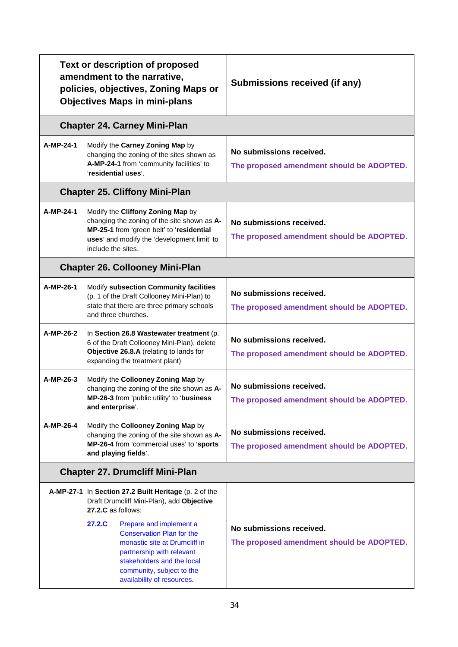| <b>Text or description of proposed</b><br>amendment to the narrative,<br>policies, objectives, Zoning Maps or<br><b>Objectives Maps in mini-plans</b> |                                                                                                                                                                                                                              | Submissions received (if any)                                         |
|-------------------------------------------------------------------------------------------------------------------------------------------------------|------------------------------------------------------------------------------------------------------------------------------------------------------------------------------------------------------------------------------|-----------------------------------------------------------------------|
|                                                                                                                                                       | <b>Chapter 24. Carney Mini-Plan</b>                                                                                                                                                                                          |                                                                       |
| A-MP-24-1                                                                                                                                             | Modify the Carney Zoning Map by<br>changing the zoning of the sites shown as<br>A-MP-24-1 from 'community facilities' to<br>'residential uses'.                                                                              | No submissions received.<br>The proposed amendment should be ADOPTED. |
|                                                                                                                                                       | <b>Chapter 25. Cliffony Mini-Plan</b>                                                                                                                                                                                        |                                                                       |
| A-MP-24-1                                                                                                                                             | Modify the Cliffony Zoning Map by<br>changing the zoning of the site shown as A-<br>MP-25-1 from 'green belt' to 'residential<br>uses' and modify the 'development limit' to<br>include the sites.                           | No submissions received.<br>The proposed amendment should be ADOPTED. |
| <b>Chapter 26. Collooney Mini-Plan</b>                                                                                                                |                                                                                                                                                                                                                              |                                                                       |
| A-MP-26-1                                                                                                                                             | Modify subsection Community facilities<br>(p. 1 of the Draft Collooney Mini-Plan) to<br>state that there are three primary schools<br>and three churches.                                                                    | No submissions received.<br>The proposed amendment should be ADOPTED. |
| A-MP-26-2                                                                                                                                             | In Section 26.8 Wastewater treatment (p.<br>6 of the Draft Collooney Mini-Plan), delete<br>Objective 26.8.A (relating to lands for<br>expanding the treatment plant)                                                         | No submissions received.<br>The proposed amendment should be ADOPTED. |
| A-MP-26-3                                                                                                                                             | Modify the Collooney Zoning Map by<br>changing the zoning of the site shown as A-<br>MP-26-3 from 'public utility' to 'business<br>and enterprise'.                                                                          | No submissions received.<br>The proposed amendment should be ADOPTED. |
| A-MP-26-4                                                                                                                                             | Modify the Collooney Zoning Map by<br>changing the zoning of the site shown as A-<br>MP-26-4 from 'commercial uses' to 'sports<br>and playing fields'.                                                                       | No submissions received.<br>The proposed amendment should be ADOPTED. |
| <b>Chapter 27. Drumcliff Mini-Plan</b>                                                                                                                |                                                                                                                                                                                                                              |                                                                       |
|                                                                                                                                                       | A-MP-27-1 In Section 27.2 Built Heritage (p. 2 of the<br>Draft Drumcliff Mini-Plan), add Objective<br>27.2.C as follows:                                                                                                     |                                                                       |
|                                                                                                                                                       | 27.2.C<br>Prepare and implement a<br><b>Conservation Plan for the</b><br>monastic site at Drumcliff in<br>partnership with relevant<br>stakeholders and the local<br>community, subject to the<br>availability of resources. | No submissions received.<br>The proposed amendment should be ADOPTED. |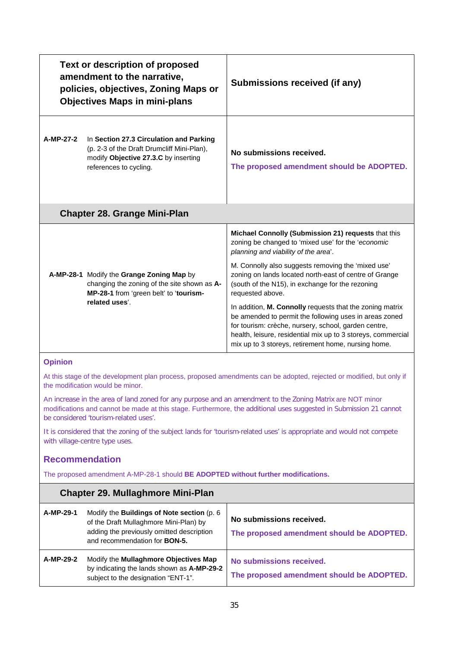|                                                                                                                                        | <b>Text or description of proposed</b><br>amendment to the narrative,<br>policies, objectives, Zoning Maps or<br><b>Objectives Maps in mini-plans</b>   | Submissions received (if any)                                                                                                                                                                                                                                                                     |
|----------------------------------------------------------------------------------------------------------------------------------------|---------------------------------------------------------------------------------------------------------------------------------------------------------|---------------------------------------------------------------------------------------------------------------------------------------------------------------------------------------------------------------------------------------------------------------------------------------------------|
| A-MP-27-2                                                                                                                              | In Section 27.3 Circulation and Parking<br>(p. 2-3 of the Draft Drumcliff Mini-Plan),<br>modify Objective 27.3.C by inserting<br>references to cycling. | No submissions received.<br>The proposed amendment should be ADOPTED.                                                                                                                                                                                                                             |
|                                                                                                                                        | <b>Chapter 28. Grange Mini-Plan</b>                                                                                                                     |                                                                                                                                                                                                                                                                                                   |
|                                                                                                                                        | A-MP-28-1 Modify the Grange Zoning Map by<br>changing the zoning of the site shown as A-<br>MP-28-1 from 'green belt' to 'tourism-<br>related uses'.    | Michael Connolly (Submission 21) requests that this<br>zoning be changed to 'mixed use' for the 'economic<br>planning and viability of the area'.                                                                                                                                                 |
|                                                                                                                                        |                                                                                                                                                         | M. Connolly also suggests removing the 'mixed use'<br>zoning on lands located north-east of centre of Grange<br>(south of the N15), in exchange for the rezoning<br>requested above.                                                                                                              |
|                                                                                                                                        |                                                                                                                                                         | In addition, M. Connolly requests that the zoning matrix<br>be amended to permit the following uses in areas zoned<br>for tourism: crèche, nursery, school, garden centre,<br>health, leisure, residential mix up to 3 storeys, commercial<br>mix up to 3 storeys, retirement home, nursing home. |
| <b>Opinion</b><br>At this stage of the development plan process, proposed amendments can be adopted, rejected or modified, but only if |                                                                                                                                                         |                                                                                                                                                                                                                                                                                                   |

the modification would be minor.

An increase in the area of land zoned for any purpose and an amendment to the Zoning Matrix are NOT minor modifications and cannot be made at this stage. Furthermore, the additional uses suggested in Submission 21 cannot be considered 'tourism-related uses'.

It is considered that the zoning of the subject lands for 'tourism-related uses' is appropriate and would not compete with village-centre type uses.

# **Recommendation**

The proposed amendment A-MP-28-1 should **BE ADOPTED without further modifications.**

| <b>Chapter 29. Mullaghmore Mini-Plan</b> |                                                                                                                                                                                   |                                                                       |
|------------------------------------------|-----------------------------------------------------------------------------------------------------------------------------------------------------------------------------------|-----------------------------------------------------------------------|
| A-MP-29-1                                | Modify the <b>Buildings of Note section</b> (p. 6)<br>of the Draft Mullaghmore Mini-Plan) by<br>adding the previously omitted description<br>and recommendation for <b>BON-5.</b> | No submissions received.<br>The proposed amendment should be ADOPTED. |
| A-MP-29-2                                | Modify the Mullaghmore Objectives Map<br>by indicating the lands shown as A-MP-29-2<br>subject to the designation "ENT-1".                                                        | No submissions received.<br>The proposed amendment should be ADOPTED. |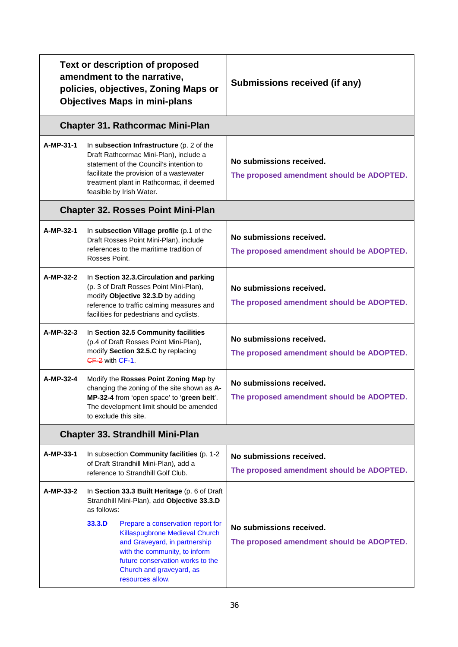| <b>Text or description of proposed</b><br>amendment to the narrative,<br>policies, objectives, Zoning Maps or<br><b>Objectives Maps in mini-plans</b> |                                                                                                                                                                                                                                                    | Submissions received (if any)                                         |  |  |
|-------------------------------------------------------------------------------------------------------------------------------------------------------|----------------------------------------------------------------------------------------------------------------------------------------------------------------------------------------------------------------------------------------------------|-----------------------------------------------------------------------|--|--|
|                                                                                                                                                       | <b>Chapter 31. Rathcormac Mini-Plan</b>                                                                                                                                                                                                            |                                                                       |  |  |
| A-MP-31-1                                                                                                                                             | In subsection Infrastructure (p. 2 of the<br>Draft Rathcormac Mini-Plan), include a<br>statement of the Council's intention to<br>facilitate the provision of a wastewater<br>treatment plant in Rathcormac, if deemed<br>feasible by Irish Water. | No submissions received.<br>The proposed amendment should be ADOPTED. |  |  |
|                                                                                                                                                       | <b>Chapter 32. Rosses Point Mini-Plan</b>                                                                                                                                                                                                          |                                                                       |  |  |
| A-MP-32-1                                                                                                                                             | In subsection Village profile (p.1 of the<br>Draft Rosses Point Mini-Plan), include<br>references to the maritime tradition of<br>Rosses Point.                                                                                                    | No submissions received.<br>The proposed amendment should be ADOPTED. |  |  |
| A-MP-32-2                                                                                                                                             | In Section 32.3. Circulation and parking<br>(p. 3 of Draft Rosses Point Mini-Plan),<br>modify Objective 32.3.D by adding<br>reference to traffic calming measures and<br>facilities for pedestrians and cyclists.                                  | No submissions received.<br>The proposed amendment should be ADOPTED. |  |  |
| A-MP-32-3                                                                                                                                             | In Section 32.5 Community facilities<br>(p.4 of Draft Rosses Point Mini-Plan),<br>modify Section 32.5.C by replacing<br>CF-2 with CF-1.                                                                                                            | No submissions received.<br>The proposed amendment should be ADOPTED. |  |  |
| A-MP-32-4                                                                                                                                             | Modify the Rosses Point Zoning Map by<br>changing the zoning of the site shown as A-<br>MP-32-4 from 'open space' to 'green belt'.<br>The development limit should be amended<br>to exclude this site.                                             | No submissions received.<br>The proposed amendment should be ADOPTED. |  |  |
|                                                                                                                                                       | <b>Chapter 33. Strandhill Mini-Plan</b>                                                                                                                                                                                                            |                                                                       |  |  |
| A-MP-33-1                                                                                                                                             | In subsection Community facilities (p. 1-2<br>of Draft Strandhill Mini-Plan), add a<br>reference to Strandhill Golf Club.                                                                                                                          | No submissions received.<br>The proposed amendment should be ADOPTED. |  |  |
| A-MP-33-2                                                                                                                                             | In Section 33.3 Built Heritage (p. 6 of Draft<br>Strandhill Mini-Plan), add Objective 33.3.D<br>as follows:                                                                                                                                        |                                                                       |  |  |
|                                                                                                                                                       | 33.3.D<br>Prepare a conservation report for<br>Killaspugbrone Medieval Church<br>and Graveyard, in partnership<br>with the community, to inform<br>future conservation works to the<br>Church and graveyard, as<br>resources allow.                | No submissions received.<br>The proposed amendment should be ADOPTED. |  |  |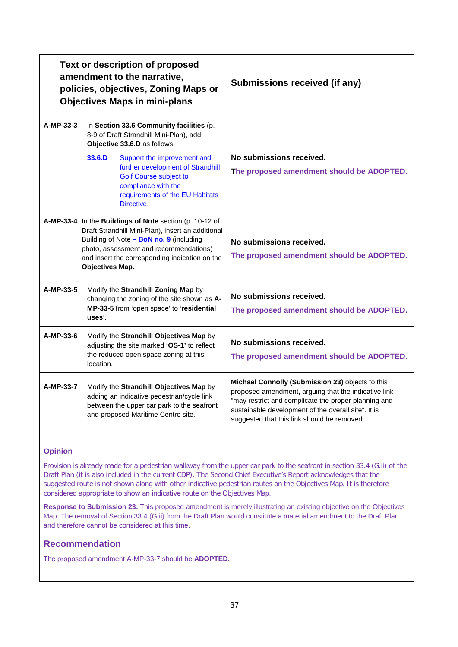| <b>Text or description of proposed</b><br>amendment to the narrative,<br>policies, objectives, Zoning Maps or<br><b>Objectives Maps in mini-plans</b> |                                                                                                                                                                                                                                                                        |                                                                                                                                                                           | Submissions received (if any)                                                                                                                                                                                                                                          |  |
|-------------------------------------------------------------------------------------------------------------------------------------------------------|------------------------------------------------------------------------------------------------------------------------------------------------------------------------------------------------------------------------------------------------------------------------|---------------------------------------------------------------------------------------------------------------------------------------------------------------------------|------------------------------------------------------------------------------------------------------------------------------------------------------------------------------------------------------------------------------------------------------------------------|--|
| A-MP-33-3                                                                                                                                             | In Section 33.6 Community facilities (p.<br>8-9 of Draft Strandhill Mini-Plan), add<br>Objective 33.6.D as follows:                                                                                                                                                    |                                                                                                                                                                           |                                                                                                                                                                                                                                                                        |  |
|                                                                                                                                                       | 33.6.D                                                                                                                                                                                                                                                                 | Support the improvement and<br>further development of Strandhill<br><b>Golf Course subject to</b><br>compliance with the<br>requirements of the EU Habitats<br>Directive. | No submissions received.<br>The proposed amendment should be ADOPTED.                                                                                                                                                                                                  |  |
|                                                                                                                                                       | A-MP-33-4 In the Buildings of Note section (p. 10-12 of<br>Draft Strandhill Mini-Plan), insert an additional<br>Building of Note - BoN no. 9 (including<br>photo, assessment and recommendations)<br>and insert the corresponding indication on the<br>Objectives Map. |                                                                                                                                                                           | No submissions received.<br>The proposed amendment should be ADOPTED.                                                                                                                                                                                                  |  |
| A-MP-33-5                                                                                                                                             | Modify the Strandhill Zoning Map by<br>changing the zoning of the site shown as A-<br>MP-33-5 from 'open space' to 'residential<br>$_{\rm uses'}$                                                                                                                      |                                                                                                                                                                           | No submissions received.<br>The proposed amendment should be ADOPTED.                                                                                                                                                                                                  |  |
| A-MP-33-6                                                                                                                                             | Modify the Strandhill Objectives Map by<br>adjusting the site marked 'OS-1' to reflect<br>the reduced open space zoning at this<br>location.                                                                                                                           |                                                                                                                                                                           | No submissions received.<br>The proposed amendment should be ADOPTED.                                                                                                                                                                                                  |  |
| A-MP-33-7                                                                                                                                             |                                                                                                                                                                                                                                                                        | Modify the Strandhill Objectives Map by<br>adding an indicative pedestrian/cycle link<br>between the upper car park to the seafront<br>and proposed Maritime Centre site. | Michael Connolly (Submission 23) objects to this<br>proposed amendment, arguing that the indicative link<br>"may restrict and complicate the proper planning and<br>sustainable development of the overall site". It is<br>suggested that this link should be removed. |  |

Provision is already made for a pedestrian walkway from the upper car park to the seafront in section 33.4 (G.ii) of the Draft Plan (it is also included in the current CDP). The Second Chief Executive's Report acknowledges that the suggested route is not shown along with other indicative pedestrian routes on the Objectives Map. It is therefore considered appropriate to show an indicative route on the Objectives Map.

**Response to Submission 23:** This proposed amendment is merely illustrating an existing objective on the Objectives Map. The removal of Section 33.4 (G.ii) from the Draft Plan would constitute a material amendment to the Draft Plan and therefore cannot be considered at this time.

# **Recommendation**

The proposed amendment A-MP-33-7 should be **ADOPTED.**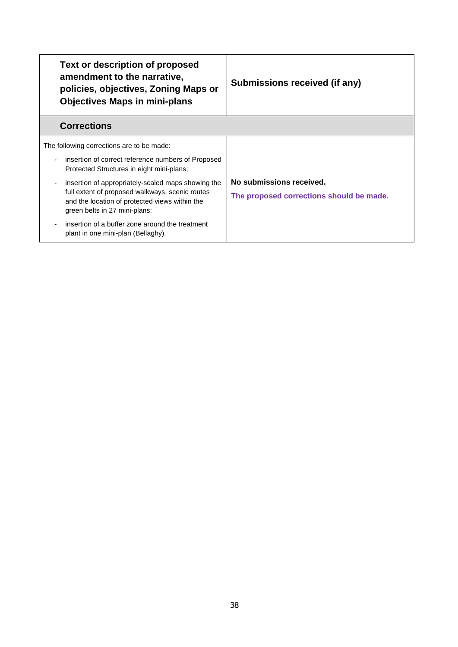| <b>Text or description of proposed</b><br>amendment to the narrative,<br>policies, objectives, Zoning Maps or<br><b>Objectives Maps in mini-plans</b>                                    | Submissions received (if any)                                        |
|------------------------------------------------------------------------------------------------------------------------------------------------------------------------------------------|----------------------------------------------------------------------|
| <b>Corrections</b>                                                                                                                                                                       |                                                                      |
| The following corrections are to be made:<br>insertion of correct reference numbers of Proposed<br>Protected Structures in eight mini-plans;                                             |                                                                      |
| insertion of appropriately-scaled maps showing the<br>full extent of proposed walkways, scenic routes<br>and the location of protected views within the<br>green belts in 27 mini-plans; | No submissions received.<br>The proposed corrections should be made. |
| insertion of a buffer zone around the treatment<br>plant in one mini-plan (Bellaghy).                                                                                                    |                                                                      |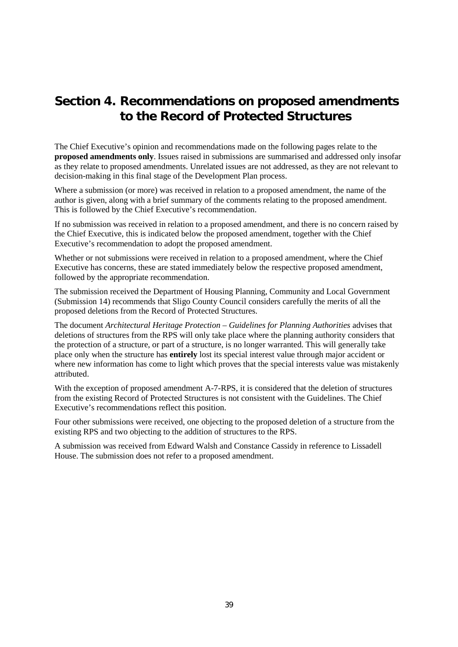# **Section 4. Recommendations on proposed amendments to the Record of Protected Structures**

The Chief Executive's opinion and recommendations made on the following pages relate to the **proposed amendments only**. Issues raised in submissions are summarised and addressed only insofar as they relate to proposed amendments. Unrelated issues are not addressed, as they are not relevant to decision-making in this final stage of the Development Plan process.

Where a submission (or more) was received in relation to a proposed amendment, the name of the author is given, along with a brief summary of the comments relating to the proposed amendment. This is followed by the Chief Executive's recommendation.

If no submission was received in relation to a proposed amendment, and there is no concern raised by the Chief Executive, this is indicated below the proposed amendment, together with the Chief Executive's recommendation to adopt the proposed amendment.

Whether or not submissions were received in relation to a proposed amendment, where the Chief Executive has concerns, these are stated immediately below the respective proposed amendment, followed by the appropriate recommendation.

The submission received the Department of Housing Planning, Community and Local Government (Submission 14) recommends that Sligo County Council considers carefully the merits of all the proposed deletions from the Record of Protected Structures.

The document *Architectural Heritage Protection – Guidelines for Planning Authorities* advises that deletions of structures from the RPS will only take place where the planning authority considers that the protection of a structure, or part of a structure, is no longer warranted. This will generally take place only when the structure has **entirely** lost its special interest value through major accident or where new information has come to light which proves that the special interests value was mistakenly attributed.

With the exception of proposed amendment A-7-RPS, it is considered that the deletion of structures from the existing Record of Protected Structures is not consistent with the Guidelines. The Chief Executive's recommendations reflect this position.

Four other submissions were received, one objecting to the proposed deletion of a structure from the existing RPS and two objecting to the addition of structures to the RPS.

A submission was received from Edward Walsh and Constance Cassidy in reference to Lissadell House. The submission does not refer to a proposed amendment.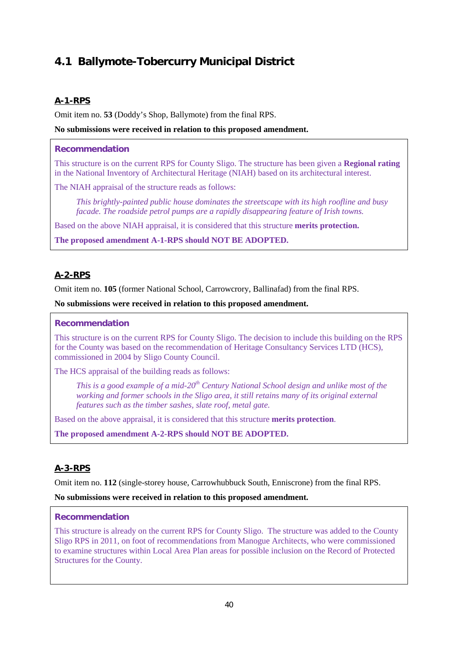# **4.1 Ballymote-Tobercurry Municipal District**

# **A-1-RPS**

Omit item no. **53** (Doddy's Shop, Ballymote) from the final RPS.

## **No submissions were received in relation to this proposed amendment.**

## **Recommendation**

This structure is on the current RPS for County Sligo. The structure has been given a **Regional rating** in the National Inventory of Architectural Heritage (NIAH) based on its architectural interest.

The NIAH appraisal of the structure reads as follows:

*This brightly-painted public house dominates the streetscape with its high roofline and busy facade. The roadside petrol pumps are a rapidly disappearing feature of Irish towns.* 

Based on the above NIAH appraisal, it is considered that this structure **merits protection.** 

**The proposed amendment A-1-RPS should NOT BE ADOPTED.**

# **A-2-RPS**

Omit item no. **105** (former National School, Carrowcrory, Ballinafad) from the final RPS.

#### **No submissions were received in relation to this proposed amendment.**

### **Recommendation**

This structure is on the current RPS for County Sligo. The decision to include this building on the RPS for the County was based on the recommendation of Heritage Consultancy Services LTD (HCS), commissioned in 2004 by Sligo County Council.

The HCS appraisal of the building reads as follows:

*This is a good example of a mid-20th Century National School design and unlike most of the working and former schools in the Sligo area, it still retains many of its original external features such as the timber sashes, slate roof, metal gate.*

Based on the above appraisal, it is considered that this structure **merits protection**.

**The proposed amendment A-2-RPS should NOT BE ADOPTED.** 

# **A-3-RPS**

Omit item no. **112** (single-storey house, Carrowhubbuck South, Enniscrone) from the final RPS.

#### **No submissions were received in relation to this proposed amendment.**

# **Recommendation**

This structure is already on the current RPS for County Sligo. The structure was added to the County Sligo RPS in 2011, on foot of recommendations from Manogue Architects, who were commissioned to examine structures within Local Area Plan areas for possible inclusion on the Record of Protected Structures for the County.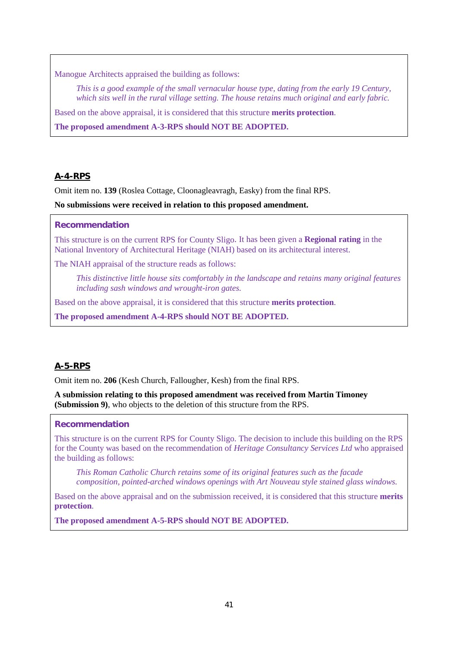Manogue Architects appraised the building as follows:

*This is a good example of the small vernacular house type, dating from the early 19 Century, which sits well in the rural village setting. The house retains much original and early fabric.*

Based on the above appraisal, it is considered that this structure **merits protection**.

**The proposed amendment A-3-RPS should NOT BE ADOPTED.** 

## **A-4-RPS**

Omit item no. **139** (Roslea Cottage, Cloonagleavragh, Easky) from the final RPS.

**No submissions were received in relation to this proposed amendment.**

#### **Recommendation**

This structure is on the current RPS for County Sligo. It has been given a **Regional rating** in the National Inventory of Architectural Heritage (NIAH) based on its architectural interest.

The NIAH appraisal of the structure reads as follows:

*This distinctive little house sits comfortably in the landscape and retains many original features including sash windows and wrought-iron gates.*

Based on the above appraisal, it is considered that this structure **merits protection**.

**The proposed amendment A-4-RPS should NOT BE ADOPTED.**

# **A-5-RPS**

Omit item no. **206** (Kesh Church, Fallougher, Kesh) from the final RPS.

**A submission relating to this proposed amendment was received from Martin Timoney (Submission 9)**, who objects to the deletion of this structure from the RPS.

#### **Recommendation**

This structure is on the current RPS for County Sligo. The decision to include this building on the RPS for the County was based on the recommendation of *Heritage Consultancy Services Ltd* who appraised the building as follows:

*This Roman Catholic Church retains some of its original features such as the facade composition, pointed-arched windows openings with Art Nouveau style stained glass windows.* 

Based on the above appraisal and on the submission received, it is considered that this structure **merits protection**.

**The proposed amendment A-5-RPS should NOT BE ADOPTED.**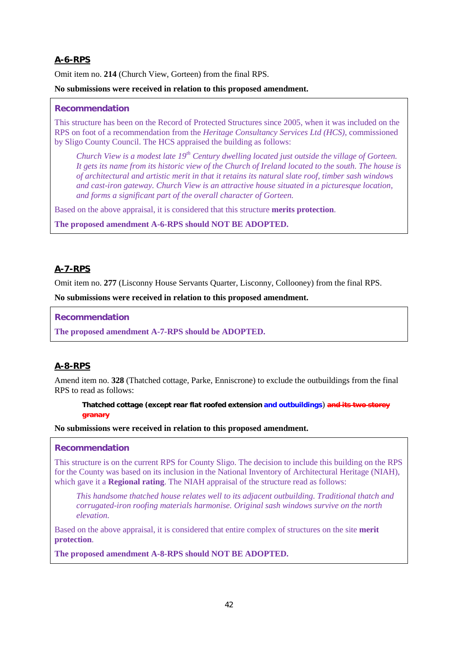# **A-6-RPS**

Omit item no. **214** (Church View, Gorteen) from the final RPS.

### **No submissions were received in relation to this proposed amendment.**

#### **Recommendation**

This structure has been on the Record of Protected Structures since 2005, when it was included on the RPS on foot of a recommendation from the *Heritage Consultancy Services Ltd (HCS)*, commissioned by Sligo County Council. The HCS appraised the building as follows:

*Church View is a modest late 19th Century dwelling located just outside the village of Gorteen. It gets its name from its historic view of the Church of Ireland located to the south. The house is of architectural and artistic merit in that it retains its natural slate roof, timber sash windows and cast-iron gateway. Church View is an attractive house situated in a picturesque location, and forms a significant part of the overall character of Gorteen.*

Based on the above appraisal, it is considered that this structure **merits protection**.

**The proposed amendment A-6-RPS should NOT BE ADOPTED.**

# **A-7-RPS**

Omit item no. **277** (Lisconny House Servants Quarter, Lisconny, Collooney) from the final RPS.

**No submissions were received in relation to this proposed amendment.**

**Recommendation**

**The proposed amendment A-7-RPS should be ADOPTED.**

# **A-8-RPS**

Amend item no. **328** (Thatched cottage, Parke, Enniscrone) to exclude the outbuildings from the final RPS to read as follows:

**Thatched cottage (except rear flat roofed extension and outbuildings**) **and its two storey granary**

**No submissions were received in relation to this proposed amendment.**

# **Recommendation**

This structure is on the current RPS for County Sligo. The decision to include this building on the RPS for the County was based on its inclusion in the National Inventory of Architectural Heritage (NIAH), which gave it a **Regional rating**. The NIAH appraisal of the structure read as follows:

*This handsome thatched house relates well to its adjacent outbuilding. Traditional thatch and corrugated-iron roofing materials harmonise. Original sash windows survive on the north elevation.*

Based on the above appraisal, it is considered that entire complex of structures on the site **merit protection**.

**The proposed amendment A-8-RPS should NOT BE ADOPTED.**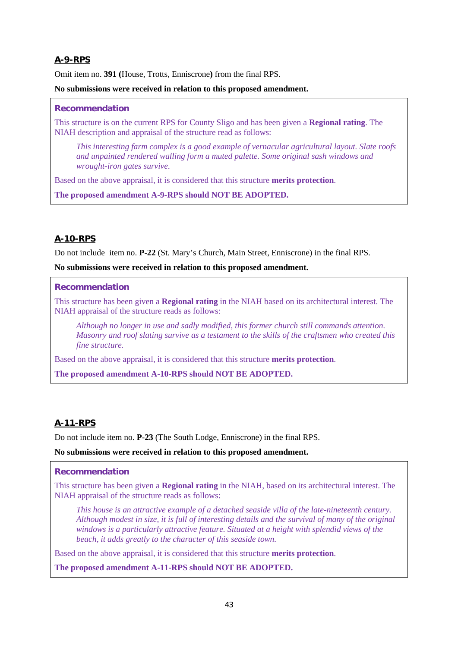# **A-9-RPS**

Omit item no. **391 (**House, Trotts, Enniscrone**)** from the final RPS.

### **No submissions were received in relation to this proposed amendment.**

### **Recommendation**

This structure is on the current RPS for County Sligo and has been given a **Regional rating**. The NIAH description and appraisal of the structure read as follows:

*This interesting farm complex is a good example of vernacular agricultural layout. Slate roofs and unpainted rendered walling form a muted palette. Some original sash windows and wrought-iron gates survive.*

Based on the above appraisal, it is considered that this structure **merits protection**.

**The proposed amendment A-9-RPS should NOT BE ADOPTED.**

# **A-10-RPS**

Do not include item no. **P-22** (St. Mary's Church, Main Street, Enniscrone) in the final RPS.

**No submissions were received in relation to this proposed amendment.**

## **Recommendation**

This structure has been given a **Regional rating** in the NIAH based on its architectural interest. The NIAH appraisal of the structure reads as follows:

*Although no longer in use and sadly modified, this former church still commands attention. Masonry and roof slating survive as a testament to the skills of the craftsmen who created this fine structure.* 

Based on the above appraisal, it is considered that this structure **merits protection**.

**The proposed amendment A-10-RPS should NOT BE ADOPTED.**

# **A-11-RPS**

Do not include item no. **P-23** (The South Lodge, Enniscrone) in the final RPS.

**No submissions were received in relation to this proposed amendment.**

# **Recommendation**

This structure has been given a **Regional rating** in the NIAH, based on its architectural interest. The NIAH appraisal of the structure reads as follows:

*This house is an attractive example of a detached seaside villa of the late-nineteenth century. Although modest in size, it is full of interesting details and the survival of many of the original windows is a particularly attractive feature. Situated at a height with splendid views of the beach, it adds greatly to the character of this seaside town.*

Based on the above appraisal, it is considered that this structure **merits protection**.

**The proposed amendment A-11-RPS should NOT BE ADOPTED.**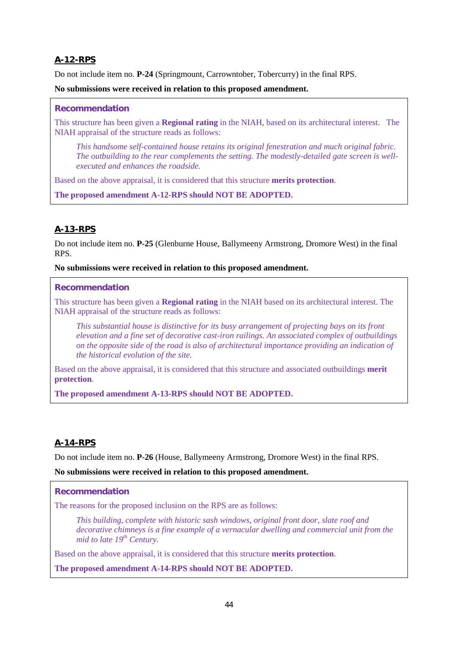# **A-12-RPS**

Do not include item no. **P-24** (Springmount, Carrowntober, Tobercurry) in the final RPS.

## **No submissions were received in relation to this proposed amendment.**

### **Recommendation**

This structure has been given a **Regional rating** in the NIAH, based on its architectural interest. The NIAH appraisal of the structure reads as follows:

*This handsome self-contained house retains its original fenestration and much original fabric. The outbuilding to the rear complements the setting. The modestly-detailed gate screen is wellexecuted and enhances the roadside.*

Based on the above appraisal, it is considered that this structure **merits protection**.

**The proposed amendment A-12-RPS should NOT BE ADOPTED.**

# **A-13-RPS**

Do not include item no. **P-25** (Glenburne House, Ballymeeny Armstrong, Dromore West) in the final RPS.

#### **No submissions were received in relation to this proposed amendment.**

#### **Recommendation**

This structure has been given a **Regional rating** in the NIAH based on its architectural interest. The NIAH appraisal of the structure reads as follows:

*This substantial house is distinctive for its busy arrangement of projecting bays on its front elevation and a fine set of decorative cast-iron railings. An associated complex of outbuildings on the opposite side of the road is also of architectural importance providing an indication of the historical evolution of the site.*

Based on the above appraisal, it is considered that this structure and associated outbuildings **merit protection**.

**The proposed amendment A-13-RPS should NOT BE ADOPTED.**

# **A-14-RPS**

Do not include item no. **P-26** (House, Ballymeeny Armstrong, Dromore West) in the final RPS.

#### **No submissions were received in relation to this proposed amendment.**

# **Recommendation**

The reasons for the proposed inclusion on the RPS are as follows:

*This building, complete with historic sash windows, original front door, slate roof and decorative chimneys is a fine example of a vernacular dwelling and commercial unit from the mid to late 19th Century.*

Based on the above appraisal, it is considered that this structure **merits protection**.

**The proposed amendment A-14-RPS should NOT BE ADOPTED.**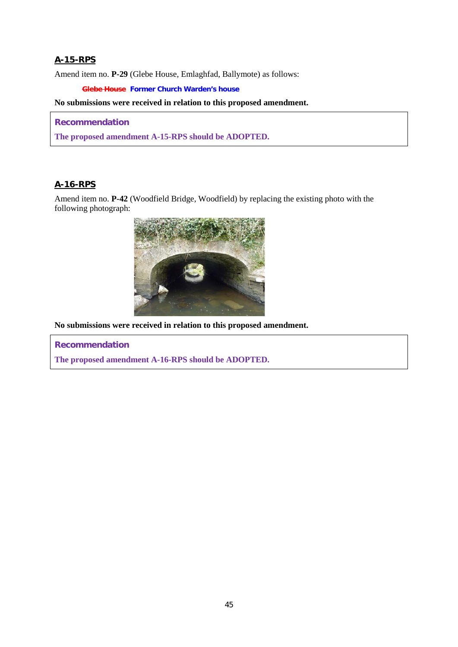# **A-15-RPS**

Amend item no. **P-29** (Glebe House, Emlaghfad, Ballymote) as follows:

**Glebe House Former Church Warden's house**

#### **No submissions were received in relation to this proposed amendment.**

#### **Recommendation**

**The proposed amendment A-15-RPS should be ADOPTED.**

# **A-16-RPS**

Amend item no. **P-42** (Woodfield Bridge, Woodfield) by replacing the existing photo with the following photograph:



**No submissions were received in relation to this proposed amendment.**

**Recommendation**

**The proposed amendment A-16-RPS should be ADOPTED.**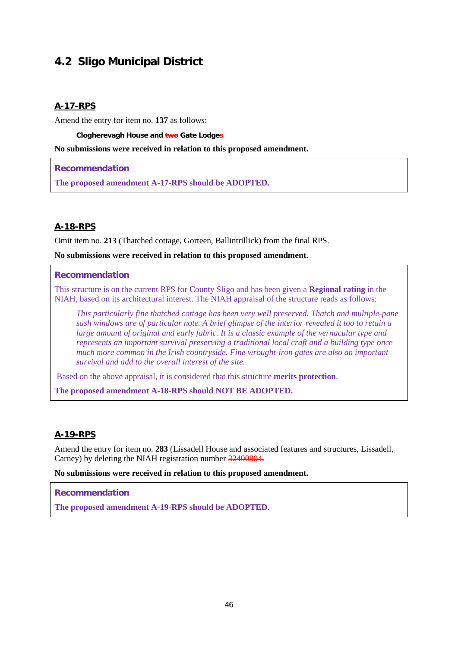# **4.2 Sligo Municipal District**

# **A-17-RPS**

Amend the entry for item no. **137** as follows:

**Clogherevagh House and two Gate Lodges**

#### **No submissions were received in relation to this proposed amendment.**

**Recommendation**

**The proposed amendment A-17-RPS should be ADOPTED.**

# **A-18-RPS**

Omit item no. **213** (Thatched cottage, Gorteen, Ballintrillick) from the final RPS.

**No submissions were received in relation to this proposed amendment.**

#### **Recommendation**

This structure is on the current RPS for County Sligo and has been given a **Regional rating** in the NIAH, based on its architectural interest. The NIAH appraisal of the structure reads as follows:

*This particularly fine thatched cottage has been very well preserved. Thatch and multiple-pane sash windows are of particular note. A brief glimpse of the interior revealed it too to retain a large amount of original and early fabric. It is a classic example of the vernacular type and represents an important survival preserving a traditional local craft and a building type once much more common in the Irish countryside. Fine wrought-iron gates are also an important survival and add to the overall interest of the site.* 

Based on the above appraisal, it is considered that this structure **merits protection**.

**The proposed amendment A-18-RPS should NOT BE ADOPTED.**

# **A-19-RPS**

Amend the entry for item no. **283** (Lissadell House and associated features and structures, Lissadell, Carney) by deleting the NIAH registration number 32400804.

**No submissions were received in relation to this proposed amendment.**

#### **Recommendation**

**The proposed amendment A-19-RPS should be ADOPTED.**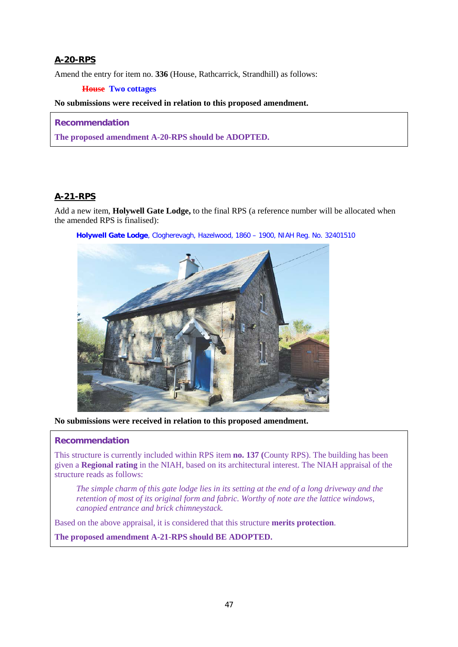# **A-20-RPS**

Amend the entry for item no. **336** (House, Rathcarrick, Strandhill) as follows:

## **House Two cottages**

#### **No submissions were received in relation to this proposed amendment.**

### **Recommendation**

**The proposed amendment A-20-RPS should be ADOPTED.**

# **A-21-RPS**

Add a new item, **Holywell Gate Lodge,** to the final RPS (a reference number will be allocated when the amended RPS is finalised):



**Holywell Gate Lodge**, Clogherevagh, Hazelwood, 1860 – 1900, NIAH Reg. No. 32401510

**No submissions were received in relation to this proposed amendment.**

#### **Recommendation**

This structure is currently included within RPS item **no. 137 (**County RPS). The building has been given a **Regional rating** in the NIAH, based on its architectural interest. The NIAH appraisal of the structure reads as follows:

*The simple charm of this gate lodge lies in its setting at the end of a long driveway and the retention of most of its original form and fabric. Worthy of note are the lattice windows, canopied entrance and brick chimneystack.*

Based on the above appraisal, it is considered that this structure **merits protection**.

**The proposed amendment A-21-RPS should BE ADOPTED.**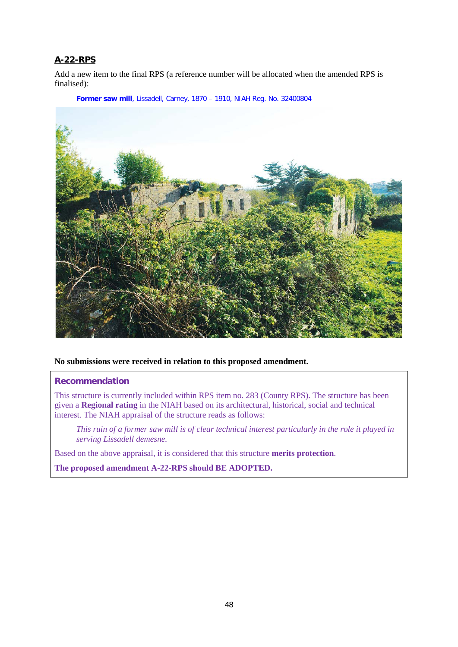# **A-22-RPS**

Add a new item to the final RPS (a reference number will be allocated when the amended RPS is finalised):

**Former saw mill**, Lissadell, Carney, 1870 – 1910, NIAH Reg. No. 32400804



**No submissions were received in relation to this proposed amendment.**

#### **Recommendation**

This structure is currently included within RPS item no. 283 (County RPS). The structure has been given a **Regional rating** in the NIAH based on its architectural, historical, social and technical interest. The NIAH appraisal of the structure reads as follows:

*This ruin of a former saw mill is of clear technical interest particularly in the role it played in serving Lissadell demesne.*

Based on the above appraisal, it is considered that this structure **merits protection**.

**The proposed amendment A-22-RPS should BE ADOPTED.**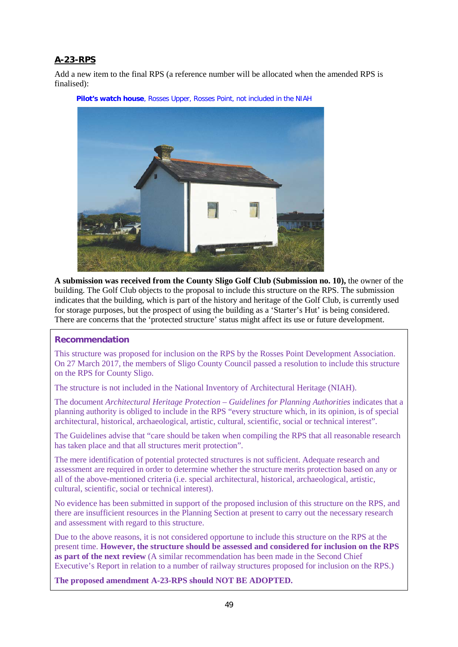# **A-23-RPS**

Add a new item to the final RPS (a reference number will be allocated when the amended RPS is finalised):



**Pilot's watch house**, Rosses Upper, Rosses Point, not included in the NIAH

**A submission was received from the County Sligo Golf Club (Submission no. 10),** the owner of the building. The Golf Club objects to the proposal to include this structure on the RPS. The submission indicates that the building, which is part of the history and heritage of the Golf Club, is currently used for storage purposes, but the prospect of using the building as a 'Starter's Hut' is being considered. There are concerns that the 'protected structure' status might affect its use or future development.

# **Recommendation**

This structure was proposed for inclusion on the RPS by the Rosses Point Development Association. On 27 March 2017, the members of Sligo County Council passed a resolution to include this structure on the RPS for County Sligo.

The structure is not included in the National Inventory of Architectural Heritage (NIAH).

The document *Architectural Heritage Protection – Guidelines for Planning Authorities* indicates that a planning authority is obliged to include in the RPS "every structure which, in its opinion, is of special architectural, historical, archaeological, artistic, cultural, scientific, social or technical interest".

The Guidelines advise that "care should be taken when compiling the RPS that all reasonable research has taken place and that all structures merit protection".

The mere identification of potential protected structures is not sufficient. Adequate research and assessment are required in order to determine whether the structure merits protection based on any or all of the above-mentioned criteria (i.e. special architectural, historical, archaeological, artistic, cultural, scientific, social or technical interest).

No evidence has been submitted in support of the proposed inclusion of this structure on the RPS, and there are insufficient resources in the Planning Section at present to carry out the necessary research and assessment with regard to this structure.

Due to the above reasons, it is not considered opportune to include this structure on the RPS at the present time. **However, the structure should be assessed and considered for inclusion on the RPS as part of the next review** (A similar recommendation has been made in the Second Chief Executive's Report in relation to a number of railway structures proposed for inclusion on the RPS.)

**The proposed amendment A-23-RPS should NOT BE ADOPTED.**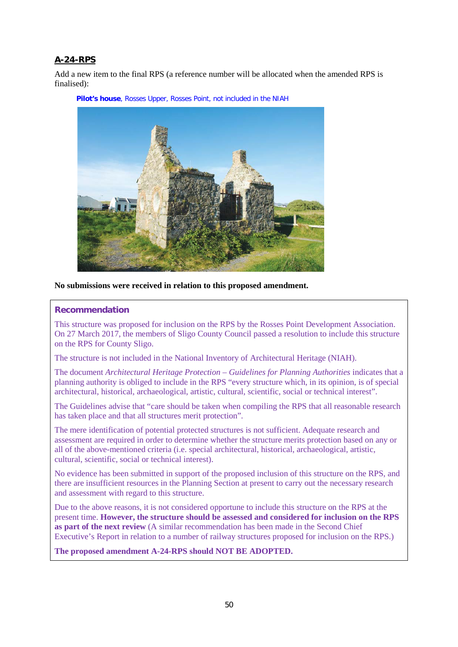# **A-24-RPS**

Add a new item to the final RPS (a reference number will be allocated when the amended RPS is finalised):



**Pilot's house**, Rosses Upper, Rosses Point, not included in the NIAH

#### **No submissions were received in relation to this proposed amendment.**

#### **Recommendation**

This structure was proposed for inclusion on the RPS by the Rosses Point Development Association. On 27 March 2017, the members of Sligo County Council passed a resolution to include this structure on the RPS for County Sligo.

The structure is not included in the National Inventory of Architectural Heritage (NIAH).

The document *Architectural Heritage Protection – Guidelines for Planning Authorities* indicates that a planning authority is obliged to include in the RPS "every structure which, in its opinion, is of special architectural, historical, archaeological, artistic, cultural, scientific, social or technical interest".

The Guidelines advise that "care should be taken when compiling the RPS that all reasonable research has taken place and that all structures merit protection".

The mere identification of potential protected structures is not sufficient. Adequate research and assessment are required in order to determine whether the structure merits protection based on any or all of the above-mentioned criteria (i.e. special architectural, historical, archaeological, artistic, cultural, scientific, social or technical interest).

No evidence has been submitted in support of the proposed inclusion of this structure on the RPS, and there are insufficient resources in the Planning Section at present to carry out the necessary research and assessment with regard to this structure.

Due to the above reasons, it is not considered opportune to include this structure on the RPS at the present time. **However, the structure should be assessed and considered for inclusion on the RPS as part of the next review** (A similar recommendation has been made in the Second Chief Executive's Report in relation to a number of railway structures proposed for inclusion on the RPS.)

**The proposed amendment A-24-RPS should NOT BE ADOPTED.**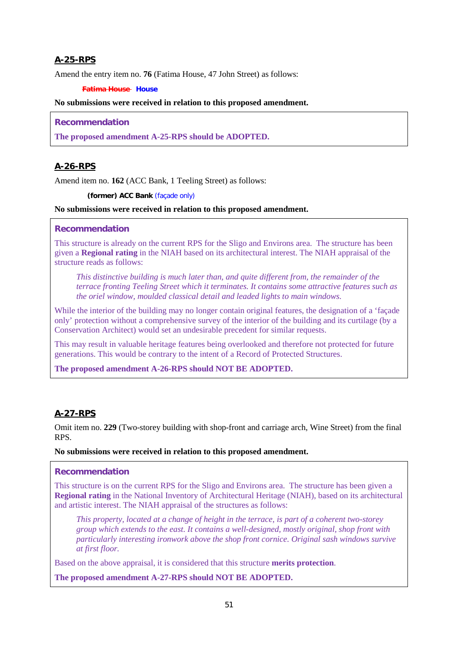# **A-25-RPS**

Amend the entry item no. **76** (Fatima House, 47 John Street) as follows:

#### **Fatima House House**

#### **No submissions were received in relation to this proposed amendment.**

#### **Recommendation**

**The proposed amendment A-25-RPS should be ADOPTED.**

# **A-26-RPS**

Amend item no. **162** (ACC Bank, 1 Teeling Street) as follows:

**(former) ACC Bank** (façade only)

#### **No submissions were received in relation to this proposed amendment.**

## **Recommendation**

This structure is already on the current RPS for the Sligo and Environs area. The structure has been given a **Regional rating** in the NIAH based on its architectural interest. The NIAH appraisal of the structure reads as follows:

*This distinctive building is much later than, and quite different from, the remainder of the terrace fronting Teeling Street which it terminates. It contains some attractive features such as the oriel window, moulded classical detail and leaded lights to main windows.*

While the interior of the building may no longer contain original features, the designation of a 'façade only' protection without a comprehensive survey of the interior of the building and its curtilage (by a Conservation Architect) would set an undesirable precedent for similar requests.

This may result in valuable heritage features being overlooked and therefore not protected for future generations. This would be contrary to the intent of a Record of Protected Structures.

**The proposed amendment A-26-RPS should NOT BE ADOPTED.**

# **A-27-RPS**

Omit item no. **229** (Two-storey building with shop-front and carriage arch, Wine Street) from the final RPS.

#### **No submissions were received in relation to this proposed amendment.**

#### **Recommendation**

This structure is on the current RPS for the Sligo and Environs area. The structure has been given a **Regional rating** in the National Inventory of Architectural Heritage (NIAH), based on its architectural and artistic interest. The NIAH appraisal of the structures as follows:

*This property, located at a change of height in the terrace, is part of a coherent two-storey group which extends to the east. It contains a well-designed, mostly original, shop front with particularly interesting ironwork above the shop front cornice. Original sash windows survive at first floor.*

Based on the above appraisal, it is considered that this structure **merits protection**.

**The proposed amendment A-27-RPS should NOT BE ADOPTED.**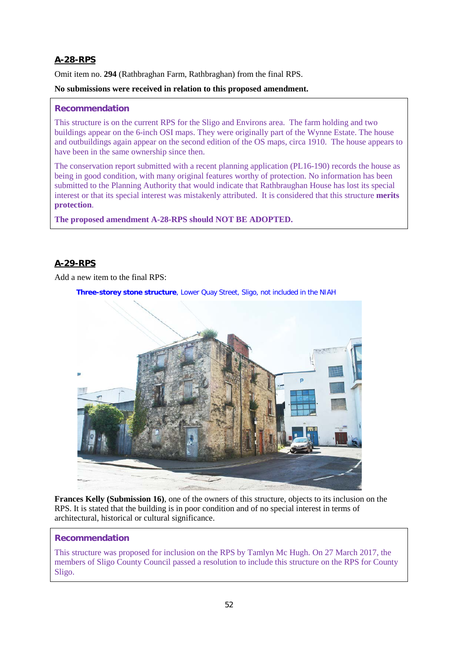# **A-28-RPS**

Omit item no. **294** (Rathbraghan Farm, Rathbraghan) from the final RPS.

### **No submissions were received in relation to this proposed amendment.**

### **Recommendation**

This structure is on the current RPS for the Sligo and Environs area. The farm holding and two buildings appear on the 6-inch OSI maps. They were originally part of the Wynne Estate. The house and outbuildings again appear on the second edition of the OS maps, circa 1910. The house appears to have been in the same ownership since then.

The conservation report submitted with a recent planning application (PL16-190) records the house as being in good condition, with many original features worthy of protection. No information has been submitted to the Planning Authority that would indicate that Rathbraughan House has lost its special interest or that its special interest was mistakenly attributed. It is considered that this structure **merits protection**.

**The proposed amendment A-28-RPS should NOT BE ADOPTED.**

# **A-29-RPS**

Add a new item to the final RPS:

**Three-storey stone structure**, Lower Quay Street, Sligo, not included in the NIAH



**Frances Kelly (Submission 16)**, one of the owners of this structure, objects to its inclusion on the RPS. It is stated that the building is in poor condition and of no special interest in terms of architectural, historical or cultural significance.

#### **Recommendation**

This structure was proposed for inclusion on the RPS by Tamlyn Mc Hugh. On 27 March 2017, the members of Sligo County Council passed a resolution to include this structure on the RPS for County Sligo.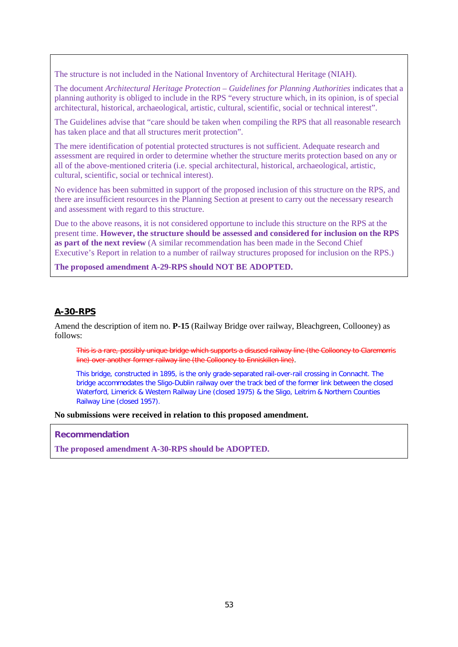The structure is not included in the National Inventory of Architectural Heritage (NIAH).

The document *Architectural Heritage Protection – Guidelines for Planning Authorities* indicates that a planning authority is obliged to include in the RPS "every structure which, in its opinion, is of special architectural, historical, archaeological, artistic, cultural, scientific, social or technical interest".

The Guidelines advise that "care should be taken when compiling the RPS that all reasonable research has taken place and that all structures merit protection".

The mere identification of potential protected structures is not sufficient. Adequate research and assessment are required in order to determine whether the structure merits protection based on any or all of the above-mentioned criteria (i.e. special architectural, historical, archaeological, artistic, cultural, scientific, social or technical interest).

No evidence has been submitted in support of the proposed inclusion of this structure on the RPS, and there are insufficient resources in the Planning Section at present to carry out the necessary research and assessment with regard to this structure.

Due to the above reasons, it is not considered opportune to include this structure on the RPS at the present time. **However, the structure should be assessed and considered for inclusion on the RPS as part of the next review** (A similar recommendation has been made in the Second Chief Executive's Report in relation to a number of railway structures proposed for inclusion on the RPS.)

**The proposed amendment A-29-RPS should NOT BE ADOPTED.**

#### **A-30-RPS**

Amend the description of item no. **P-15** (Railway Bridge over railway, Bleachgreen, Collooney) as follows:

This is a rare, possibly unique bridge which supports a disused railway line (the Collooney to Claremorris line) over another former railway line (the Collooney to Enniskillen line).

This bridge, constructed in 1895, is the only grade-separated rail-over-rail crossing in Connacht. The bridge accommodates the Sligo-Dublin railway over the track bed of the former link between the closed Waterford, Limerick & Western Railway Line (closed 1975) & the Sligo, Leitrim & Northern Counties Railway Line (closed 1957).

**No submissions were received in relation to this proposed amendment.**

**Recommendation**

**The proposed amendment A-30-RPS should be ADOPTED.**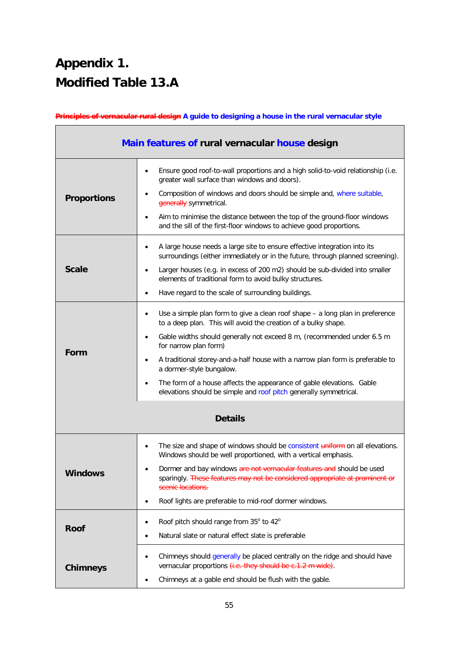# **Appendix 1. Modified Table 13.A**

**Principles of vernacular rural design A guide to designing a house in the rural vernacular style**

| Main features of rural vernacular house design |                                                                                                                                                                           |  |  |
|------------------------------------------------|---------------------------------------------------------------------------------------------------------------------------------------------------------------------------|--|--|
|                                                | Ensure good roof-to-wall proportions and a high solid-to-void relationship (i.e.<br>$\bullet$<br>greater wall surface than windows and doors).                            |  |  |
| <b>Proportions</b>                             | Composition of windows and doors should be simple and, where suitable,<br>$\bullet$<br>generally symmetrical.                                                             |  |  |
|                                                | Aim to minimise the distance between the top of the ground-floor windows<br>$\bullet$<br>and the sill of the first-floor windows to achieve good proportions.             |  |  |
|                                                | A large house needs a large site to ensure effective integration into its<br>$\bullet$<br>surroundings (either immediately or in the future, through planned screening).  |  |  |
| <b>Scale</b>                                   | Larger houses (e.g. in excess of 200 m2) should be sub-divided into smaller<br>$\bullet$<br>elements of traditional form to avoid bulky structures.                       |  |  |
|                                                | Have regard to the scale of surrounding buildings.<br>$\bullet$                                                                                                           |  |  |
|                                                | Use a simple plan form to give a clean roof shape - a long plan in preference<br>$\bullet$<br>to a deep plan. This will avoid the creation of a bulky shape.              |  |  |
|                                                | Gable widths should generally not exceed 8 m, (recommended under 6.5 m<br>$\bullet$<br>for narrow plan form)                                                              |  |  |
| Form                                           | A traditional storey-and-a-half house with a narrow plan form is preferable to<br>$\bullet$<br>a dormer-style bungalow.                                                   |  |  |
|                                                | The form of a house affects the appearance of gable elevations. Gable<br>elevations should be simple and roof pitch generally symmetrical.                                |  |  |
| <b>Details</b>                                 |                                                                                                                                                                           |  |  |
|                                                | The size and shape of windows should be consistent uniform on all elevations.<br>٠<br>Windows should be well proportioned, with a vertical emphasis.                      |  |  |
| <b>Windows</b>                                 | Dormer and bay windows are not vernacular features and should be used<br>sparingly. These features may not be considered appropriate at prominent or<br>scenic locations. |  |  |
|                                                | Roof lights are preferable to mid-roof dormer windows.                                                                                                                    |  |  |
| <b>Roof</b>                                    | Roof pitch should range from 35° to 42°<br>٠<br>Natural slate or natural effect slate is preferable                                                                       |  |  |
| <b>Chimneys</b>                                | Chimneys should generally be placed centrally on the ridge and should have<br>vernacular proportions (i.e. they should be c.1.2 m wide).                                  |  |  |
|                                                | Chimneys at a gable end should be flush with the gable.                                                                                                                   |  |  |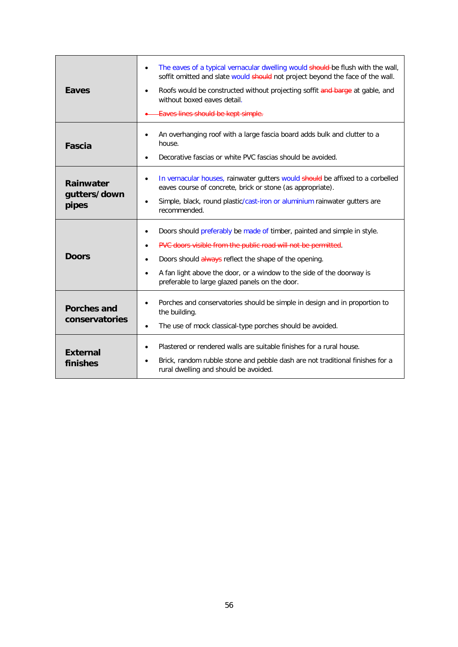| Eaves                                                                                                                                                                                                                                                                                               | The eaves of a typical vernacular dwelling would should be flush with the wall,<br>$\bullet$<br>soffit omitted and slate would should not project beyond the face of the wall.<br>Roofs would be constructed without projecting soffit and barge at gable, and<br>$\bullet$<br>without boxed eaves detail.<br>Eaves lines should be kept simple. |  |  |
|-----------------------------------------------------------------------------------------------------------------------------------------------------------------------------------------------------------------------------------------------------------------------------------------------------|--------------------------------------------------------------------------------------------------------------------------------------------------------------------------------------------------------------------------------------------------------------------------------------------------------------------------------------------------|--|--|
| <b>Fascia</b>                                                                                                                                                                                                                                                                                       | An overhanging roof with a large fascia board adds bulk and clutter to a<br>٠<br>house.<br>Decorative fascias or white PVC fascias should be avoided.<br>٠                                                                                                                                                                                       |  |  |
| In vernacular houses, rainwater gutters would should be affixed to a corbelled<br>$\bullet$<br><b>Rainwater</b><br>eaves course of concrete, brick or stone (as appropriate).<br>gutters/down<br>Simple, black, round plastic/cast-iron or aluminium rainwater gutters are<br>pipes<br>recommended. |                                                                                                                                                                                                                                                                                                                                                  |  |  |
| <b>Doors</b>                                                                                                                                                                                                                                                                                        | Doors should preferably be made of timber, painted and simple in style.<br>٠<br>PVC doors visible from the public road will not be permitted.<br>Doors should always reflect the shape of the opening.<br>٠<br>A fan light above the door, or a window to the side of the doorway is<br>٠<br>preferable to large glazed panels on the door.      |  |  |
| <b>Porches and</b><br>conservatories                                                                                                                                                                                                                                                                | Porches and conservatories should be simple in design and in proportion to<br>٠<br>the building.<br>The use of mock classical-type porches should be avoided.<br>$\bullet$                                                                                                                                                                       |  |  |
| <b>External</b><br>finishes                                                                                                                                                                                                                                                                         | Plastered or rendered walls are suitable finishes for a rural house.<br>$\bullet$<br>Brick, random rubble stone and pebble dash are not traditional finishes for a<br>rural dwelling and should be avoided.                                                                                                                                      |  |  |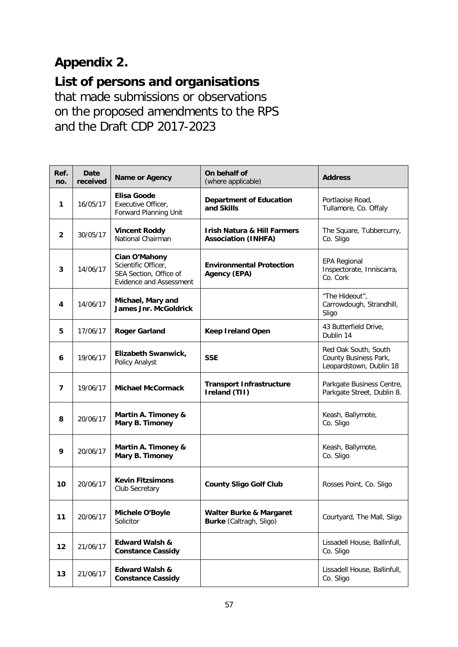# **Appendix 2.**

**List of persons and organisations** 

that made submissions or observations on the proposed amendments to the RPS and the Draft CDP 2017-2023

| Ref.<br>no.    | Date<br>received | Name or Agency                                                                                   | On behalf of<br>(where applicable)                                   | <b>Address</b>                                                           |
|----------------|------------------|--------------------------------------------------------------------------------------------------|----------------------------------------------------------------------|--------------------------------------------------------------------------|
| 1              | 16/05/17         | Elisa Goode<br>Executive Officer,<br>Forward Planning Unit                                       | <b>Department of Education</b><br>and Skills                         | Portlaoise Road,<br>Tullamore, Co. Offaly                                |
| $\overline{2}$ | 30/05/17         | <b>Vincent Roddy</b><br>National Chairman                                                        | <b>Irish Natura &amp; Hill Farmers</b><br><b>Association (INHFA)</b> | The Square, Tubbercurry,<br>Co. Sligo                                    |
| 3              | 14/06/17         | Cian O'Mahony<br>Scientific Officer,<br>SEA Section, Office of<br><b>Evidence and Assessment</b> | <b>Environmental Protection</b><br><b>Agency (EPA)</b>               | <b>EPA Regional</b><br>Inspectorate, Inniscarra,<br>Co. Cork             |
| 4              | 14/06/17         | Michael, Mary and<br><b>James Jnr. McGoldrick</b>                                                |                                                                      | "The Hideout",<br>Carrowdough, Strandhill,<br>Sligo                      |
| 5              | 17/06/17         | <b>Roger Garland</b>                                                                             | <b>Keep Ireland Open</b>                                             | 43 Butterfield Drive,<br>Dublin 14                                       |
| 6              | 19/06/17         | Elizabeth Swanwick,<br>Policy Analyst                                                            | <b>SSE</b>                                                           | Red Oak South, South<br>County Business Park,<br>Leopardstown, Dublin 18 |
| 7              | 19/06/17         | <b>Michael McCormack</b>                                                                         | <b>Transport Infrastructure</b><br>Ireland (TII)                     | Parkgate Business Centre,<br>Parkgate Street, Dublin 8.                  |
| 8              | 20/06/17         | Martin A. Timoney &<br>Mary B. Timoney                                                           |                                                                      | Keash, Ballymote,<br>Co. Sligo                                           |
| 9              | 20/06/17         | Martin A. Timoney &<br>Mary B. Timoney                                                           |                                                                      | Keash, Ballymote,<br>Co. Sligo                                           |
| 10             | 20/06/17         | <b>Kevin Fitzsimons</b><br>Club Secretary                                                        | <b>County Sligo Golf Club</b>                                        | Rosses Point, Co. Sligo                                                  |
| 11             | 20/06/17         | <b>Michele O'Boyle</b><br>Solicitor                                                              | <b>Walter Burke &amp; Margaret</b><br>Burke (Caltragh, Sligo)        | Courtyard, The Mall, Sligo                                               |
| 12             | 21/06/17         | <b>Edward Walsh &amp;</b><br><b>Constance Cassidy</b>                                            |                                                                      | Lissadell House, Ballinfull,<br>Co. Sligo                                |
| 13             | 21/06/17         | <b>Edward Walsh &amp;</b><br><b>Constance Cassidy</b>                                            |                                                                      | Lissadell House, Ballinfull,<br>Co. Sligo                                |